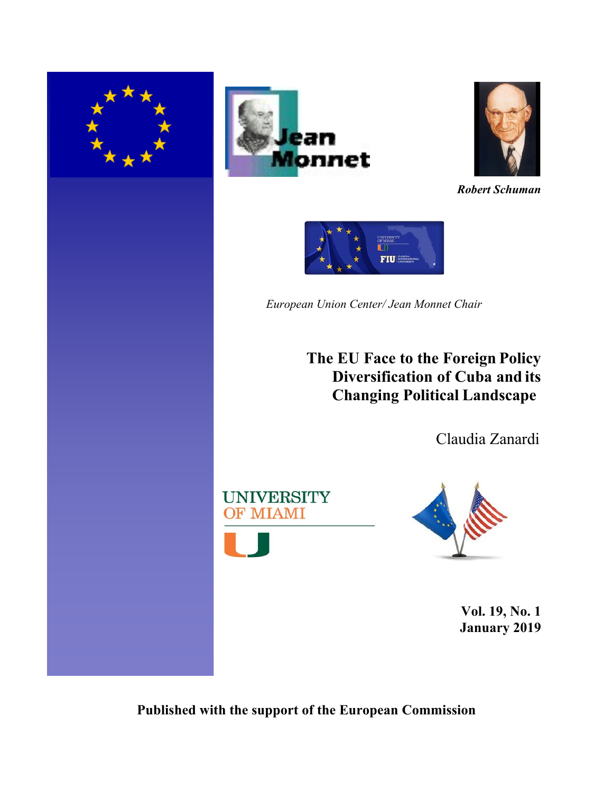





*Robert Schuman*



*European Union Center/ Jean Monnet Chair*

**The EU Face to the Foreign Policy Diversification of Cuba and its Changing Political Landscape**

Claudia Zanardi





**Vol. 19, No. 1 January 2019**

**Published with the support of the European Commission**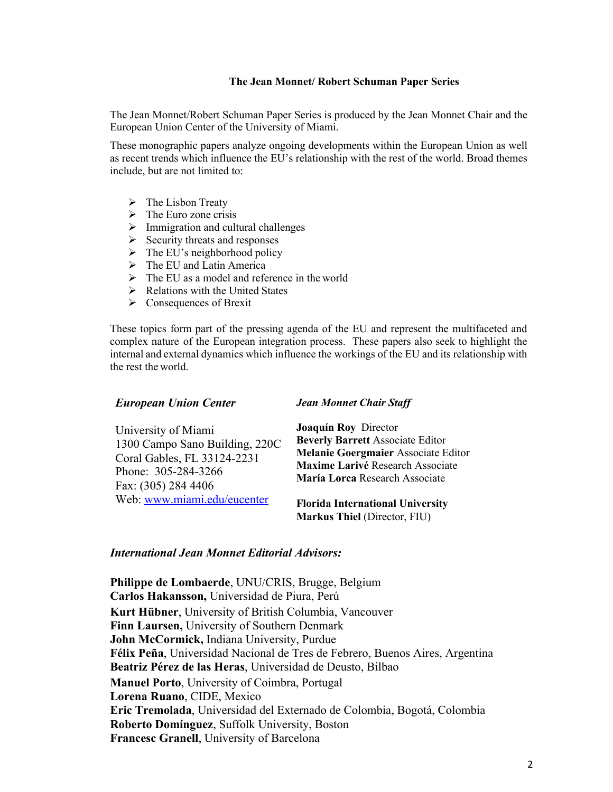#### **The Jean Monnet/ Robert Schuman Paper Series**

The Jean Monnet/Robert Schuman Paper Series is produced by the Jean Monnet Chair and the European Union Center of the University of Miami.

These monographic papers analyze ongoing developments within the European Union as well as recent trends which influence the EU's relationship with the rest of the world. Broad themes include, but are not limited to:

- $\triangleright$  The Lisbon Treaty
- $\triangleright$  The Euro zone crisis
- $\triangleright$  Immigration and cultural challenges
- $\triangleright$  Security threats and responses
- $\triangleright$  The EU's neighborhood policy
- $\triangleright$  The EU and Latin America
- $\triangleright$  The EU as a model and reference in the world
- $\triangleright$  Relations with the United States
- $\triangleright$  Consequences of Brexit

These topics form part of the pressing agenda of the EU and represent the multifaceted and complex nature of the European integration process. These papers also seek to highlight the internal and external dynamics which influence the workings of the EU and its relationship with the rest the world.

#### *European Union Center*

#### *Jean Monnet Chair Staff*

| University of Miami                        | <b>Joaquín Roy Director</b>                                        |
|--------------------------------------------|--------------------------------------------------------------------|
| 1300 Campo Sano Building, 220C             | <b>Beverly Barrett Associate Editor</b>                            |
| Coral Gables, FL 33124-2231                | Melanie Goergmaier Associate Editor                                |
| Phone: 305-284-3266<br>Fax: (305) 284 4406 | Maxime Larivé Research Associate<br>María Lorca Research Associate |
| Web: www.miami.edu/eucenter                | <b>Florida International University</b>                            |
|                                            | Markus Thiel (Director, FIU)                                       |

#### *International Jean Monnet Editorial Advisors:*

**Philippe de Lombaerde**, UNU/CRIS, Brugge, Belgium **Carlos Hakansson,** Universidad de Piura, Perú **Kurt Hübner**, University of British Columbia, Vancouver **Finn Laursen,** University of Southern Denmark **John McCormick,** Indiana University, Purdue **Félix Peña**, Universidad Nacional de Tres de Febrero, Buenos Aires, Argentina **Beatriz Pérez de las Heras**, Universidad de Deusto, Bilbao **Manuel Porto**, University of Coimbra, Portugal **Lorena Ruano**, CIDE, Mexico **Eric Tremolada**, Universidad del Externado de Colombia, Bogotá, Colombia **Roberto Domínguez**, Suffolk University, Boston **Francesc Granell**, University of Barcelona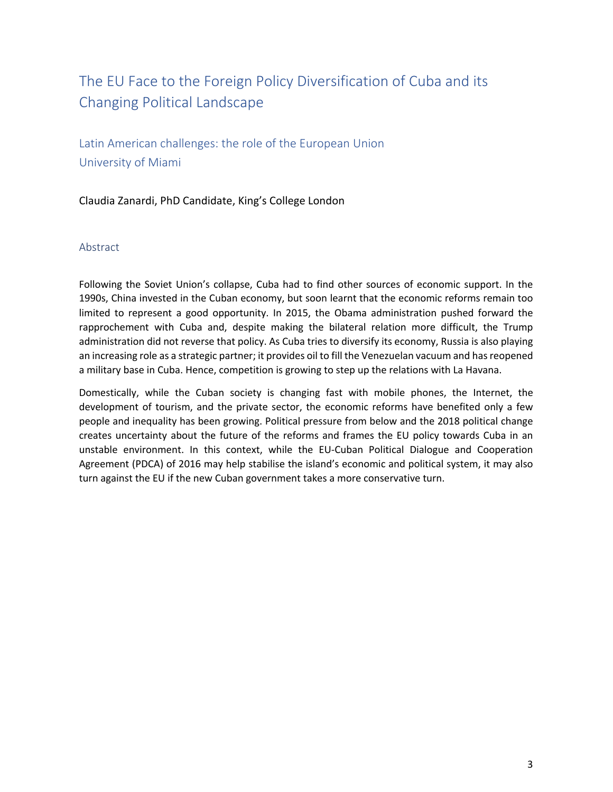# The EU Face to the Foreign Policy Diversification of Cuba and its Changing Political Landscape

Latin American challenges: the role of the European Union University of Miami

Claudia Zanardi, PhD Candidate, King's College London

#### Abstract

Following the Soviet Union's collapse, Cuba had to find other sources of economic support. In the 1990s, China invested in the Cuban economy, but soon learnt that the economic reforms remain too limited to represent a good opportunity. In 2015, the Obama administration pushed forward the rapprochement with Cuba and, despite making the bilateral relation more difficult, the Trump administration did not reverse that policy. As Cuba tries to diversify its economy, Russia is also playing an increasing role as a strategic partner; it provides oil to fill the Venezuelan vacuum and has reopened a military base in Cuba. Hence, competition is growing to step up the relations with La Havana.

Domestically, while the Cuban society is changing fast with mobile phones, the Internet, the development of tourism, and the private sector, the economic reforms have benefited only a few people and inequality has been growing. Political pressure from below and the 2018 political change creates uncertainty about the future of the reforms and frames the EU policy towards Cuba in an unstable environment. In this context, while the EU-Cuban Political Dialogue and Cooperation Agreement (PDCA) of 2016 may help stabilise the island's economic and political system, it may also turn against the EU if the new Cuban government takes a more conservative turn.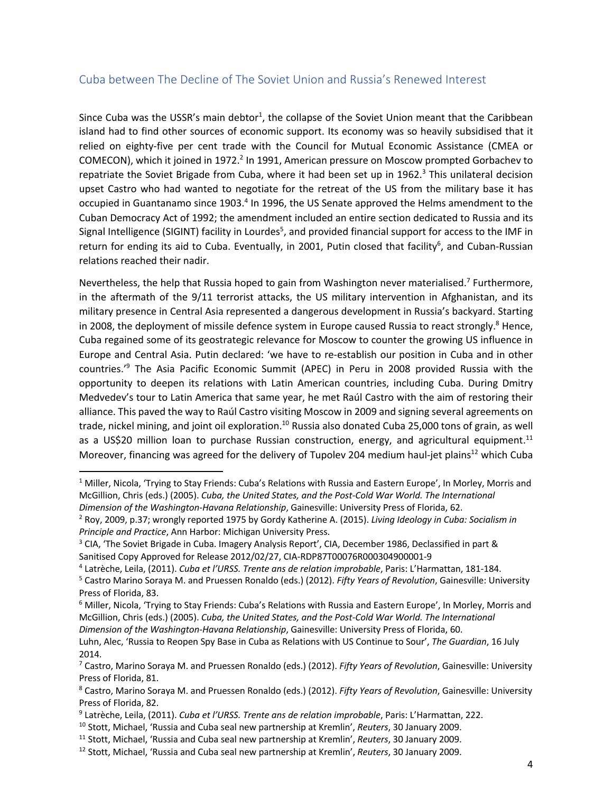# Cuba between The Decline of The Soviet Union and Russia's Renewed Interest

Since Cuba was the USSR's main debtor<sup>1</sup>, the collapse of the Soviet Union meant that the Caribbean island had to find other sources of economic support. Its economy was so heavily subsidised that it relied on eighty-five per cent trade with the Council for Mutual Economic Assistance (CMEA or COMECON), which it joined in 1972.<sup>2</sup> In 1991, American pressure on Moscow prompted Gorbachev to repatriate the Soviet Brigade from Cuba, where it had been set up in 1962.<sup>3</sup> This unilateral decision upset Castro who had wanted to negotiate for the retreat of the US from the military base it has occupied in Guantanamo since 1903.<sup>4</sup> In 1996, the US Senate approved the Helms amendment to the Cuban Democracy Act of 1992; the amendment included an entire section dedicated to Russia and its Signal Intelligence (SIGINT) facility in Lourdes<sup>5</sup>, and provided financial support for access to the IMF in return for ending its aid to Cuba. Eventually, in 2001, Putin closed that facility<sup>6</sup>, and Cuban-Russian relations reached their nadir.

Nevertheless, the help that Russia hoped to gain from Washington never materialised.<sup>7</sup> Furthermore, in the aftermath of the 9/11 terrorist attacks, the US military intervention in Afghanistan, and its military presence in Central Asia represented a dangerous development in Russia's backyard. Starting in 2008, the deployment of missile defence system in Europe caused Russia to react strongly.<sup>8</sup> Hence, Cuba regained some of its geostrategic relevance for Moscow to counter the growing US influence in Europe and Central Asia. Putin declared: 'we have to re-establish our position in Cuba and in other countries.' <sup>9</sup> The Asia Pacific Economic Summit (APEC) in Peru in 2008 provided Russia with the opportunity to deepen its relations with Latin American countries, including Cuba. During Dmitry Medvedev's tour to Latin America that same year, he met Raúl Castro with the aim of restoring their alliance. This paved the way to Raúl Castro visiting Moscow in 2009 and signing several agreements on trade, nickel mining, and joint oil exploration.<sup>10</sup> Russia also donated Cuba 25,000 tons of grain, as well as a US\$20 million loan to purchase Russian construction, energy, and agricultural equipment.<sup>11</sup> Moreover, financing was agreed for the delivery of Tupolev 204 medium haul-jet plains<sup>12</sup> which Cuba

<sup>&</sup>lt;sup>1</sup> Miller, Nicola, 'Trying to Stay Friends: Cuba's Relations with Russia and Eastern Europe', In Morley, Morris and McGillion, Chris (eds.) (2005). *Cuba, the United States, and the Post-Cold War World. The International Dimension of the Washington-Havana Relationship*, Gainesville: University Press of Florida, 62.

<sup>2</sup> Roy, 2009, p.37; wrongly reported 1975 by Gordy Katherine A. (2015). *Living Ideology in Cuba: Socialism in Principle and Practice*, Ann Harbor: Michigan University Press.

<sup>&</sup>lt;sup>3</sup> CIA, 'The Soviet Brigade in Cuba. Imagery Analysis Report', CIA, December 1986, Declassified in part & Sanitised Copy Approved for Release 2012/02/27, CIA-RDP87T00076R000304900001-9

<sup>4</sup> Latrèche, Leila, (2011). *Cuba et l'URSS. Trente ans de relation improbable*, Paris: L'Harmattan, 181-184.

<sup>5</sup> Castro Marino Soraya M. and Pruessen Ronaldo (eds.) (2012). *Fifty Years of Revolution*, Gainesville: University Press of Florida, 83.

<sup>6</sup> Miller, Nicola, 'Trying to Stay Friends: Cuba's Relations with Russia and Eastern Europe', In Morley, Morris and McGillion, Chris (eds.) (2005). *Cuba, the United States, and the Post-Cold War World. The International Dimension of the Washington-Havana Relationship*, Gainesville: University Press of Florida, 60.

Luhn, Alec, 'Russia to Reopen Spy Base in Cuba as Relations with US Continue to Sour', *The Guardian*, 16 July 2014.

<sup>7</sup> Castro, Marino Soraya M. and Pruessen Ronaldo (eds.) (2012). *Fifty Years of Revolution*, Gainesville: University Press of Florida, 81.

<sup>8</sup> Castro, Marino Soraya M. and Pruessen Ronaldo (eds.) (2012). *Fifty Years of Revolution*, Gainesville: University Press of Florida, 82.

<sup>9</sup> Latrèche, Leila, (2011). *Cuba et l'URSS. Trente ans de relation improbable*, Paris: L'Harmattan, 222.

<sup>10</sup> Stott, Michael, 'Russia and Cuba seal new partnership at Kremlin', *Reuters*, 30 January 2009.

<sup>11</sup> Stott, Michael, 'Russia and Cuba seal new partnership at Kremlin', *Reuters*, 30 January 2009.

<sup>12</sup> Stott, Michael, 'Russia and Cuba seal new partnership at Kremlin', *Reuters*, 30 January 2009.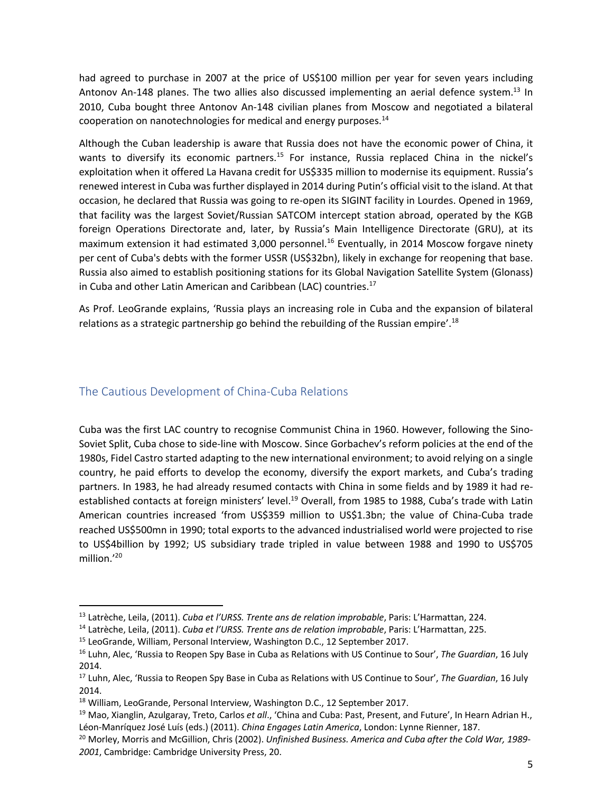had agreed to purchase in 2007 at the price of US\$100 million per year for seven years including Antonov An-148 planes. The two allies also discussed implementing an aerial defence system.<sup>13</sup> In 2010, Cuba bought three Antonov An-148 civilian planes from Moscow and negotiated a bilateral cooperation on nanotechnologies for medical and energy purposes.<sup>14</sup>

Although the Cuban leadership is aware that Russia does not have the economic power of China, it wants to diversify its economic partners.<sup>15</sup> For instance, Russia replaced China in the nickel's exploitation when it offered La Havana credit for US\$335 million to modernise its equipment. Russia's renewed interest in Cuba was further displayed in 2014 during Putin's official visit to the island. At that occasion, he declared that Russia was going to re-open its SIGINT facility in Lourdes. Opened in 1969, that facility was the largest Soviet/Russian SATCOM intercept station abroad, operated by the KGB foreign Operations Directorate and, later, by Russia's Main Intelligence Directorate (GRU), at its maximum extension it had estimated 3,000 personnel. <sup>16</sup> Eventually, in 2014 Moscow forgave ninety per cent of Cuba's debts with the former USSR (US\$32bn), likely in exchange for reopening that base. Russia also aimed to establish positioning stations for its Global Navigation Satellite System (Glonass) in Cuba and other Latin American and Caribbean (LAC) countries.<sup>17</sup>

As Prof. LeoGrande explains, 'Russia plays an increasing role in Cuba and the expansion of bilateral relations as a strategic partnership go behind the rebuilding of the Russian empire'.<sup>18</sup>

# The Cautious Development of China-Cuba Relations

Cuba was the first LAC country to recognise Communist China in 1960. However, following the Sino-Soviet Split, Cuba chose to side-line with Moscow. Since Gorbachev's reform policies at the end of the 1980s, Fidel Castro started adapting to the new international environment; to avoid relying on a single country, he paid efforts to develop the economy, diversify the export markets, and Cuba's trading partners. In 1983, he had already resumed contacts with China in some fields and by 1989 it had reestablished contacts at foreign ministers' level.<sup>19</sup> Overall, from 1985 to 1988, Cuba's trade with Latin American countries increased 'from US\$359 million to US\$1.3bn; the value of China-Cuba trade reached US\$500mn in 1990; total exports to the advanced industrialised world were projected to rise to US\$4billion by 1992; US subsidiary trade tripled in value between 1988 and 1990 to US\$705 million.' 20

<sup>13</sup> Latrèche, Leila, (2011). *Cuba et l'URSS. Trente ans de relation improbable*, Paris: L'Harmattan, 224.

<sup>14</sup> Latrèche, Leila, (2011). *Cuba et l'URSS. Trente ans de relation improbable*, Paris: L'Harmattan, 225.

<sup>15</sup> LeoGrande, William, Personal Interview, Washington D.C., 12 September 2017.

<sup>16</sup> Luhn, Alec, 'Russia to Reopen Spy Base in Cuba as Relations with US Continue to Sour', *The Guardian*, 16 July 2014.

<sup>17</sup> Luhn, Alec, 'Russia to Reopen Spy Base in Cuba as Relations with US Continue to Sour', *The Guardian*, 16 July 2014.

<sup>&</sup>lt;sup>18</sup> William, LeoGrande, Personal Interview, Washington D.C., 12 September 2017.

<sup>19</sup> Mao, Xianglin, Azulgaray, Treto, Carlos *et all*., 'China and Cuba: Past, Present, and Future', In Hearn Adrian H., Léon-Manríquez José Luís (eds.) (2011). *China Engages Latin America*, London: Lynne Rienner, 187.

<sup>20</sup> Morley, Morris and McGillion, Chris (2002). *Unfinished Business. America and Cuba after the Cold War, 1989- 2001*, Cambridge: Cambridge University Press, 20.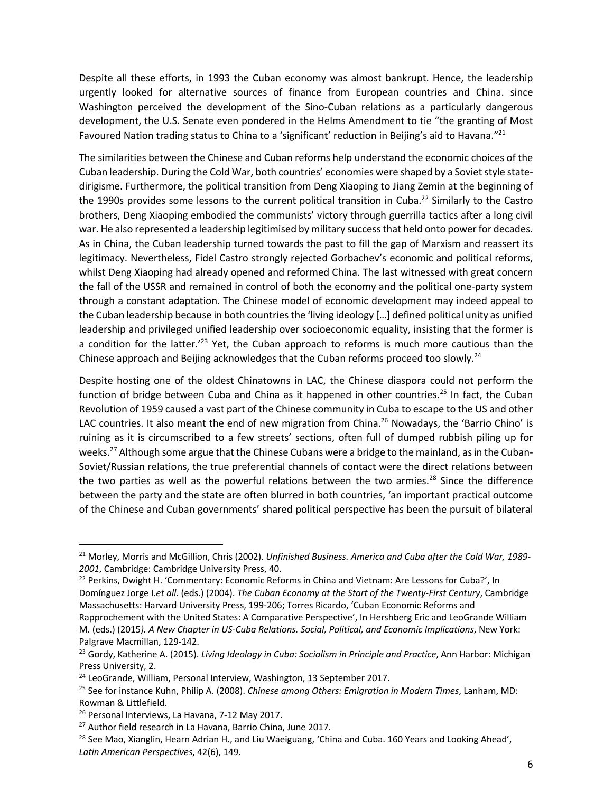Despite all these efforts, in 1993 the Cuban economy was almost bankrupt. Hence, the leadership urgently looked for alternative sources of finance from European countries and China. since Washington perceived the development of the Sino-Cuban relations as a particularly dangerous development, the U.S. Senate even pondered in the Helms Amendment to tie "the granting of Most Favoured Nation trading status to China to a 'significant' reduction in Beijing's aid to Havana."<sup>21</sup>

The similarities between the Chinese and Cuban reforms help understand the economic choices of the Cuban leadership. During the Cold War, both countries' economies were shaped by a Soviet style statedirigisme. Furthermore, the political transition from Deng Xiaoping to Jiang Zemin at the beginning of the 1990s provides some lessons to the current political transition in Cuba.<sup>22</sup> Similarly to the Castro brothers, Deng Xiaoping embodied the communists' victory through guerrilla tactics after a long civil war. He also represented a leadership legitimised by military success that held onto power for decades. As in China, the Cuban leadership turned towards the past to fill the gap of Marxism and reassert its legitimacy. Nevertheless, Fidel Castro strongly rejected Gorbachev's economic and political reforms, whilst Deng Xiaoping had already opened and reformed China. The last witnessed with great concern the fall of the USSR and remained in control of both the economy and the political one-party system through a constant adaptation. The Chinese model of economic development may indeed appeal to the Cuban leadership because in both countriesthe 'living ideology […] defined political unity as unified leadership and privileged unified leadership over socioeconomic equality, insisting that the former is a condition for the latter.<sup>123</sup> Yet, the Cuban approach to reforms is much more cautious than the Chinese approach and Beijing acknowledges that the Cuban reforms proceed too slowly.<sup>24</sup>

Despite hosting one of the oldest Chinatowns in LAC, the Chinese diaspora could not perform the function of bridge between Cuba and China as it happened in other countries.<sup>25</sup> In fact, the Cuban Revolution of 1959 caused a vast part of the Chinese community in Cuba to escape to the US and other LAC countries. It also meant the end of new migration from China.<sup>26</sup> Nowadays, the 'Barrio Chino' is ruining as it is circumscribed to a few streets' sections, often full of dumped rubbish piling up for weeks.<sup>27</sup> Although some argue that the Chinese Cubans were a bridge to the mainland, as in the Cuban-Soviet/Russian relations, the true preferential channels of contact were the direct relations between the two parties as well as the powerful relations between the two armies.<sup>28</sup> Since the difference between the party and the state are often blurred in both countries, 'an important practical outcome of the Chinese and Cuban governments' shared political perspective has been the pursuit of bilateral

<sup>21</sup> Morley, Morris and McGillion, Chris (2002). *Unfinished Business. America and Cuba after the Cold War, 1989- 2001*, Cambridge: Cambridge University Press, 40.

<sup>&</sup>lt;sup>22</sup> Perkins, Dwight H. 'Commentary: Economic Reforms in China and Vietnam: Are Lessons for Cuba?', In Domínguez Jorge I.*et all*. (eds.) (2004). *The Cuban Economy at the Start of the Twenty-First Century*, Cambridge Massachusetts: Harvard University Press, 199-206; Torres Ricardo, 'Cuban Economic Reforms and Rapprochement with the United States: A Comparative Perspective', In Hershberg Eric and LeoGrande William

M. (eds.) (2015*). A New Chapter in US-Cuba Relations. Social, Political, and Economic Implications*, New York: Palgrave Macmillan, 129-142.

<sup>23</sup> Gordy, Katherine A. (2015). *Living Ideology in Cuba: Socialism in Principle and Practice*, Ann Harbor: Michigan Press University, 2.

<sup>&</sup>lt;sup>24</sup> LeoGrande, William, Personal Interview, Washington, 13 September 2017.

<sup>25</sup> See for instance Kuhn, Philip A. (2008). *Chinese among Others: Emigration in Modern Times*, Lanham, MD: Rowman & Littlefield.

<sup>&</sup>lt;sup>26</sup> Personal Interviews, La Havana, 7-12 May 2017.

<sup>&</sup>lt;sup>27</sup> Author field research in La Havana, Barrio China, June 2017.

<sup>&</sup>lt;sup>28</sup> See Mao, Xianglin, Hearn Adrian H., and Liu Waeiguang, 'China and Cuba. 160 Years and Looking Ahead', *Latin American Perspectives*, 42(6), 149.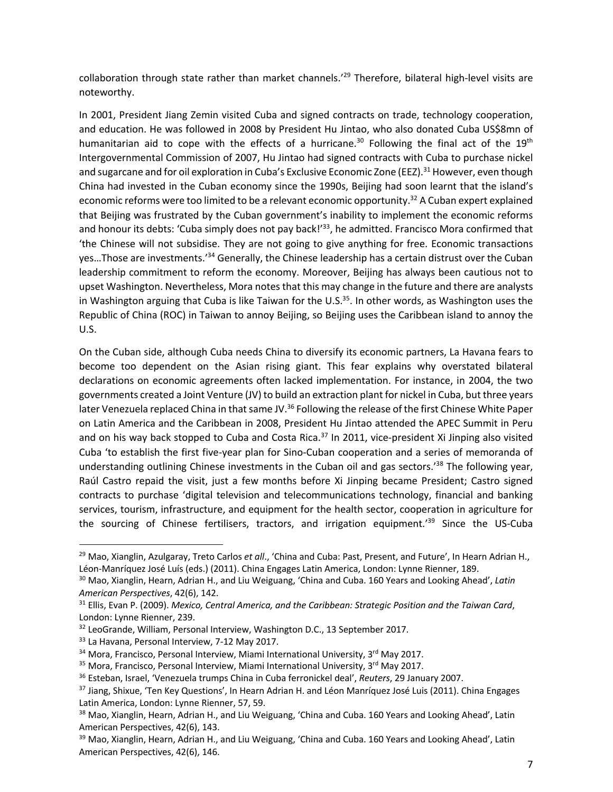collaboration through state rather than market channels.<sup>'29</sup> Therefore, bilateral high-level visits are noteworthy.

In 2001, President Jiang Zemin visited Cuba and signed contracts on trade, technology cooperation, and education. He was followed in 2008 by President Hu Jintao, who also donated Cuba US\$8mn of humanitarian aid to cope with the effects of a hurricane.<sup>30</sup> Following the final act of the 19<sup>th</sup> Intergovernmental Commission of 2007, Hu Jintao had signed contracts with Cuba to purchase nickel and sugarcane and for oil exploration in Cuba's Exclusive Economic Zone (EEZ).<sup>31</sup> However, even though China had invested in the Cuban economy since the 1990s, Beijing had soon learnt that the island's economic reforms were too limited to be a relevant economic opportunity.<sup>32</sup> A Cuban expert explained that Beijing was frustrated by the Cuban government's inability to implement the economic reforms and honour its debts: 'Cuba simply does not pay back!'<sup>33</sup>, he admitted. Francisco Mora confirmed that 'the Chinese will not subsidise. They are not going to give anything for free. Economic transactions yes...Those are investments.'<sup>34</sup> Generally, the Chinese leadership has a certain distrust over the Cuban leadership commitment to reform the economy. Moreover, Beijing has always been cautious not to upset Washington. Nevertheless, Mora notes that this may change in the future and there are analysts in Washington arguing that Cuba is like Taiwan for the U.S. $35$ . In other words, as Washington uses the Republic of China (ROC) in Taiwan to annoy Beijing, so Beijing uses the Caribbean island to annoy the U.S.

On the Cuban side, although Cuba needs China to diversify its economic partners, La Havana fears to become too dependent on the Asian rising giant. This fear explains why overstated bilateral declarations on economic agreements often lacked implementation. For instance, in 2004, the two governments created a Joint Venture (JV) to build an extraction plant for nickel in Cuba, but three years later Venezuela replaced China in that same JV.<sup>36</sup> Following the release of the first Chinese White Paper on Latin America and the Caribbean in 2008, President Hu Jintao attended the APEC Summit in Peru and on his way back stopped to Cuba and Costa Rica.<sup>37</sup> In 2011, vice-president Xi Jinping also visited Cuba 'to establish the first five-year plan for Sino-Cuban cooperation and a series of memoranda of understanding outlining Chinese investments in the Cuban oil and gas sectors.<sup>'38</sup> The following year, Raúl Castro repaid the visit, just a few months before Xi Jinping became President; Castro signed contracts to purchase 'digital television and telecommunications technology, financial and banking services, tourism, infrastructure, and equipment for the health sector, cooperation in agriculture for the sourcing of Chinese fertilisers, tractors, and irrigation equipment.<sup>139</sup> Since the US-Cuba

<sup>29</sup> Mao, Xianglin, Azulgaray, Treto Carlos *et all*., 'China and Cuba: Past, Present, and Future', In Hearn Adrian H., Léon-Manríquez José Luís (eds.) (2011). China Engages Latin America, London: Lynne Rienner, 189.

<sup>30</sup> Mao, Xianglin, Hearn, Adrian H., and Liu Weiguang, 'China and Cuba. 160 Years and Looking Ahead', *Latin American Perspectives*, 42(6), 142.

<sup>31</sup> Ellis, Evan P. (2009). *Mexico, Central America, and the Caribbean: Strategic Position and the Taiwan Card*, London: Lynne Rienner, 239.

<sup>32</sup> LeoGrande, William, Personal Interview, Washington D.C., 13 September 2017.

<sup>&</sup>lt;sup>33</sup> La Havana, Personal Interview, 7-12 May 2017.

 $34$  Mora, Francisco, Personal Interview, Miami International University,  $3<sup>rd</sup>$  May 2017.

 $35$  Mora, Francisco, Personal Interview, Miami International University,  $3<sup>rd</sup>$  May 2017.

<sup>36</sup> Esteban, Israel, 'Venezuela trumps China in Cuba ferronickel deal', *Reuters*, 29 January 2007.

<sup>&</sup>lt;sup>37</sup> Jiang, Shixue, 'Ten Key Questions', In Hearn Adrian H. and Léon Manríquez José Luis (2011). China Engages Latin America, London: Lynne Rienner, 57, 59.

<sup>&</sup>lt;sup>38</sup> Mao, Xianglin, Hearn, Adrian H., and Liu Weiguang, 'China and Cuba. 160 Years and Looking Ahead', Latin American Perspectives, 42(6), 143.

<sup>&</sup>lt;sup>39</sup> Mao, Xianglin, Hearn, Adrian H., and Liu Weiguang, 'China and Cuba. 160 Years and Looking Ahead', Latin American Perspectives, 42(6), 146.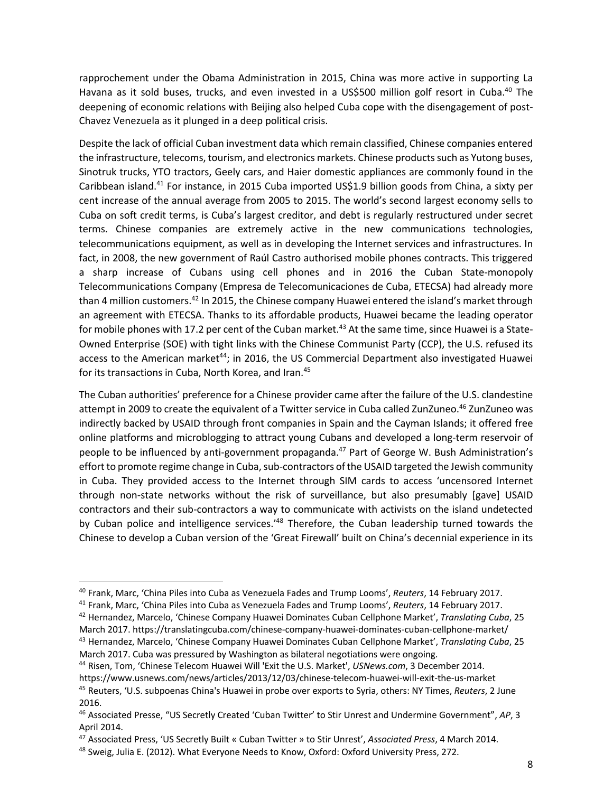rapprochement under the Obama Administration in 2015, China was more active in supporting La Havana as it sold buses, trucks, and even invested in a US\$500 million golf resort in Cuba.<sup>40</sup> The deepening of economic relations with Beijing also helped Cuba cope with the disengagement of post-Chavez Venezuela as it plunged in a deep political crisis.

Despite the lack of official Cuban investment data which remain classified, Chinese companies entered the infrastructure, telecoms, tourism, and electronics markets. Chinese products such as Yutong buses, Sinotruk trucks, YTO tractors, Geely cars, and Haier domestic appliances are commonly found in the Caribbean island.<sup>41</sup> For instance, in 2015 Cuba imported US\$1.9 billion goods from China, a sixty per cent increase of the annual average from 2005 to 2015. The world's second largest economy sells to Cuba on soft credit terms, is Cuba's largest creditor, and debt is regularly restructured under secret terms. Chinese companies are extremely active in the new communications technologies, telecommunications equipment, as well as in developing the Internet services and infrastructures. In fact, in 2008, the new government of Raúl Castro authorised mobile phones contracts. This triggered a sharp increase of Cubans using cell phones and in 2016 the Cuban State-monopoly Telecommunications Company (Empresa de Telecomunicaciones de Cuba, ETECSA) had already more than 4 million customers.<sup>42</sup> In 2015, the Chinese company Huawei entered the island's market through an agreement with ETECSA. Thanks to its affordable products, Huawei became the leading operator for mobile phones with 17.2 per cent of the Cuban market.<sup>43</sup> At the same time, since Huawei is a State-Owned Enterprise (SOE) with tight links with the Chinese Communist Party (CCP), the U.S. refused its access to the American market<sup>44</sup>; in 2016, the US Commercial Department also investigated Huawei for its transactions in Cuba, North Korea, and Iran.<sup>45</sup>

The Cuban authorities' preference for a Chinese provider came after the failure of the U.S. clandestine attempt in 2009 to create the equivalent of a Twitter service in Cuba called ZunZuneo.<sup>46</sup> ZunZuneo was indirectly backed by USAID through front companies in Spain and the Cayman Islands; it offered free online platforms and microblogging to attract young Cubans and developed a long-term reservoir of people to be influenced by anti-government propaganda.<sup>47</sup> Part of George W. Bush Administration's effort to promote regime change in Cuba, sub-contractors of the USAID targeted the Jewish community in Cuba. They provided access to the Internet through SIM cards to access 'uncensored Internet through non-state networks without the risk of surveillance, but also presumably [gave] USAID contractors and their sub-contractors a way to communicate with activists on the island undetected by Cuban police and intelligence services.<sup>148</sup> Therefore, the Cuban leadership turned towards the Chinese to develop a Cuban version of the 'Great Firewall' built on China's decennial experience in its

<sup>40</sup> Frank, Marc, 'China Piles into Cuba as Venezuela Fades and Trump Looms', *Reuters*, 14 February 2017.

<sup>41</sup> Frank, Marc, 'China Piles into Cuba as Venezuela Fades and Trump Looms', *Reuters*, 14 February 2017.

<sup>42</sup> Hernandez, Marcelo, 'Chinese Company Huawei Dominates Cuban Cellphone Market', *Translating Cuba*, 25 March 2017. https://translatingcuba.com/chinese-company-huawei-dominates-cuban-cellphone-market/ <sup>43</sup> Hernandez, Marcelo, 'Chinese Company Huawei Dominates Cuban Cellphone Market', *Translating Cuba*, 25

March 2017. Cuba was pressured by Washington as bilateral negotiations were ongoing.

<sup>44</sup> Risen, Tom, 'Chinese Telecom Huawei Will 'Exit the U.S. Market', *USNews.com*, 3 December 2014.

https://www.usnews.com/news/articles/2013/12/03/chinese-telecom-huawei-will-exit-the-us-market <sup>45</sup> Reuters, 'U.S. subpoenas China's Huawei in probe over exports to Syria, others: NY Times, *Reuters*, 2 June 2016.

<sup>46</sup> Associated Presse, "US Secretly Created 'Cuban Twitter' to Stir Unrest and Undermine Government", *AP*, 3 April 2014.

<sup>47</sup> Associated Press, 'US Secretly Built « Cuban Twitter » to Stir Unrest', *Associated Press*, 4 March 2014.

<sup>48</sup> Sweig, Julia E. (2012). What Everyone Needs to Know, Oxford: Oxford University Press, 272.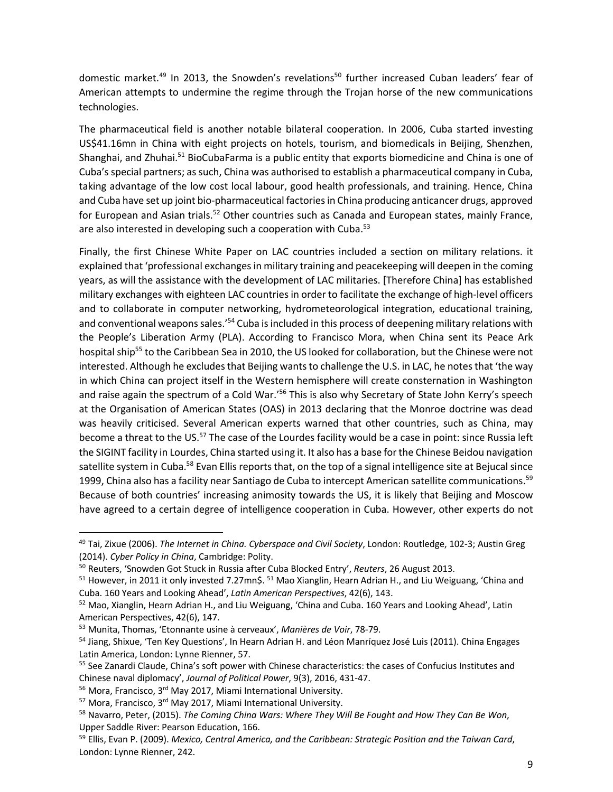domestic market.<sup>49</sup> In 2013, the Snowden's revelations<sup>50</sup> further increased Cuban leaders' fear of American attempts to undermine the regime through the Trojan horse of the new communications technologies.

The pharmaceutical field is another notable bilateral cooperation. In 2006, Cuba started investing US\$41.16mn in China with eight projects on hotels, tourism, and biomedicals in Beijing, Shenzhen, Shanghai, and Zhuhai.<sup>51</sup> BioCubaFarma is a public entity that exports biomedicine and China is one of Cuba's special partners; as such, China was authorised to establish a pharmaceutical company in Cuba, taking advantage of the low cost local labour, good health professionals, and training. Hence, China and Cuba have set up joint bio-pharmaceutical factories in China producing anticancer drugs, approved for European and Asian trials.<sup>52</sup> Other countries such as Canada and European states, mainly France, are also interested in developing such a cooperation with Cuba.<sup>53</sup>

Finally, the first Chinese White Paper on LAC countries included a section on military relations. it explained that 'professional exchanges in military training and peacekeeping will deepen in the coming years, as will the assistance with the development of LAC militaries. [Therefore China] has established military exchanges with eighteen LAC countries in order to facilitate the exchange of high-level officers and to collaborate in computer networking, hydrometeorological integration, educational training, and conventional weapons sales.'<sup>54</sup> Cuba is included in this process of deepening military relations with the People's Liberation Army (PLA). According to Francisco Mora, when China sent its Peace Ark hospital ship<sup>55</sup> to the Caribbean Sea in 2010, the US looked for collaboration, but the Chinese were not interested. Although he excludes that Beijing wants to challenge the U.S. in LAC, he notes that 'the way in which China can project itself in the Western hemisphere will create consternation in Washington and raise again the spectrum of a Cold War.'<sup>56</sup> This is also why Secretary of State John Kerry's speech at the Organisation of American States (OAS) in 2013 declaring that the Monroe doctrine was dead was heavily criticised. Several American experts warned that other countries, such as China, may become a threat to the US.<sup>57</sup> The case of the Lourdes facility would be a case in point: since Russia left the SIGINT facility in Lourdes, China started using it. It also has a base for the Chinese Beidou navigation satellite system in Cuba.<sup>58</sup> Evan Ellis reports that, on the top of a signal intelligence site at Bejucal since 1999, China also has a facility near Santiago de Cuba to intercept American satellite communications.<sup>59</sup> Because of both countries' increasing animosity towards the US, it is likely that Beijing and Moscow have agreed to a certain degree of intelligence cooperation in Cuba. However, other experts do not

<sup>49</sup> Tai, Zixue (2006). *The Internet in China. Cyberspace and Civil Society*, London: Routledge, 102-3; Austin Greg (2014). *Cyber Policy in China*, Cambridge: Polity.

<sup>50</sup> Reuters, 'Snowden Got Stuck in Russia after Cuba Blocked Entry', *Reuters*, 26 August 2013.

<sup>51</sup> However, in 2011 it only invested 7.27mn\$. <sup>51</sup> Mao Xianglin, Hearn Adrian H., and Liu Weiguang, 'China and Cuba. 160 Years and Looking Ahead', *Latin American Perspectives*, 42(6), 143.

<sup>52</sup> Mao, Xianglin, Hearn Adrian H., and Liu Weiguang, 'China and Cuba. 160 Years and Looking Ahead', Latin American Perspectives, 42(6), 147.

<sup>53</sup> Munita, Thomas, 'Etonnante usine à cerveaux', *Manières de Voir*, 78-79.

<sup>&</sup>lt;sup>54</sup> Jiang, Shixue, 'Ten Key Questions', In Hearn Adrian H. and Léon Manríquez José Luis (2011). China Engages Latin America, London: Lynne Rienner, 57.

<sup>&</sup>lt;sup>55</sup> See Zanardi Claude, China's soft power with Chinese characteristics: the cases of Confucius Institutes and Chinese naval diplomacy', *Journal of Political Power*, 9(3), 2016, 431-47.

<sup>56</sup> Mora, Francisco, 3rd May 2017, Miami International University.

<sup>&</sup>lt;sup>57</sup> Mora, Francisco, 3<sup>rd</sup> May 2017, Miami International University.

<sup>58</sup> Navarro, Peter, (2015). *The Coming China Wars: Where They Will Be Fought and How They Can Be Won*, Upper Saddle River: Pearson Education, 166.

<sup>59</sup> Ellis, Evan P. (2009). *Mexico, Central America, and the Caribbean: Strategic Position and the Taiwan Card*, London: Lynne Rienner, 242.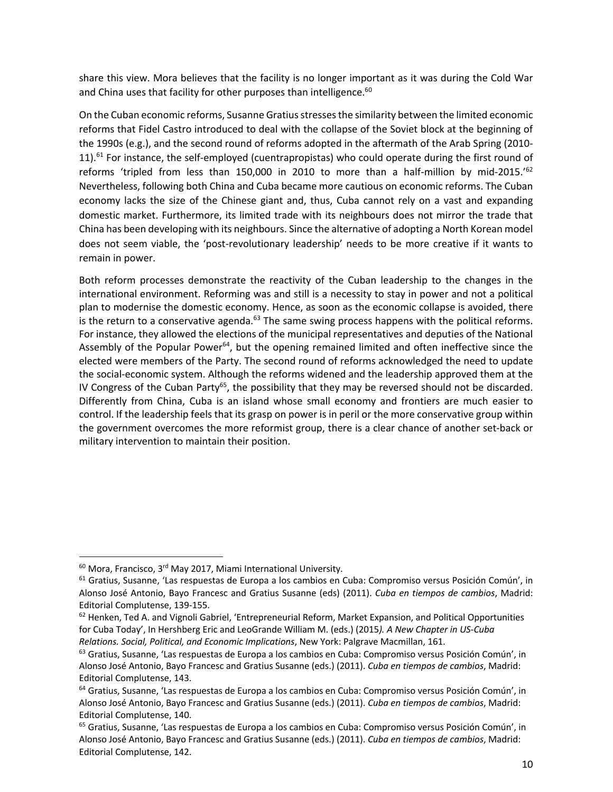share this view. Mora believes that the facility is no longer important as it was during the Cold War and China uses that facility for other purposes than intelligence.<sup>60</sup>

On the Cuban economic reforms, Susanne Gratius stresses the similarity between the limited economic reforms that Fidel Castro introduced to deal with the collapse of the Soviet block at the beginning of the 1990s (e.g.), and the second round of reforms adopted in the aftermath of the Arab Spring (2010- 11).<sup>61</sup> For instance, the self-employed (cuentrapropistas) who could operate during the first round of reforms 'tripled from less than 150,000 in 2010 to more than a half-million by mid-2015.'<sup>62</sup> Nevertheless, following both China and Cuba became more cautious on economic reforms. The Cuban economy lacks the size of the Chinese giant and, thus, Cuba cannot rely on a vast and expanding domestic market. Furthermore, its limited trade with its neighbours does not mirror the trade that China has been developing with its neighbours. Since the alternative of adopting a North Korean model does not seem viable, the 'post-revolutionary leadership' needs to be more creative if it wants to remain in power.

Both reform processes demonstrate the reactivity of the Cuban leadership to the changes in the international environment. Reforming was and still is a necessity to stay in power and not a political plan to modernise the domestic economy. Hence, as soon as the economic collapse is avoided, there is the return to a conservative agenda.<sup>63</sup> The same swing process happens with the political reforms. For instance, they allowed the elections of the municipal representatives and deputies of the National Assembly of the Popular Power<sup>64</sup>, but the opening remained limited and often ineffective since the elected were members of the Party. The second round of reforms acknowledged the need to update the social-economic system. Although the reforms widened and the leadership approved them at the IV Congress of the Cuban Party<sup>65</sup>, the possibility that they may be reversed should not be discarded. Differently from China, Cuba is an island whose small economy and frontiers are much easier to control. If the leadership feels that its grasp on power is in peril or the more conservative group within the government overcomes the more reformist group, there is a clear chance of another set-back or military intervention to maintain their position.

<sup>60</sup> Mora, Francisco, 3rd May 2017, Miami International University.

<sup>61</sup> Gratius, Susanne, 'Las respuestas de Europa a los cambios en Cuba: Compromiso versus Posición Común', in Alonso José Antonio, Bayo Francesc and Gratius Susanne (eds) (2011). *Cuba en tiempos de cambios*, Madrid: Editorial Complutense, 139-155.

 $62$  Henken, Ted A. and Vignoli Gabriel, 'Entrepreneurial Reform, Market Expansion, and Political Opportunities for Cuba Today', In Hershberg Eric and LeoGrande William M. (eds.) (2015*). A New Chapter in US-Cuba Relations. Social, Political, and Economic Implications*, New York: Palgrave Macmillan, 161.

<sup>&</sup>lt;sup>63</sup> Gratius, Susanne, 'Las respuestas de Europa a los cambios en Cuba: Compromiso versus Posición Común', in Alonso José Antonio, Bayo Francesc and Gratius Susanne (eds.) (2011). *Cuba en tiempos de cambios*, Madrid: Editorial Complutense, 143.

<sup>&</sup>lt;sup>64</sup> Gratius, Susanne, 'Las respuestas de Europa a los cambios en Cuba: Compromiso versus Posición Común', in Alonso José Antonio, Bayo Francesc and Gratius Susanne (eds.) (2011). *Cuba en tiempos de cambios*, Madrid: Editorial Complutense, 140.

<sup>&</sup>lt;sup>65</sup> Gratius, Susanne, 'Las respuestas de Europa a los cambios en Cuba: Compromiso versus Posición Común', in Alonso José Antonio, Bayo Francesc and Gratius Susanne (eds.) (2011). *Cuba en tiempos de cambios*, Madrid: Editorial Complutense, 142.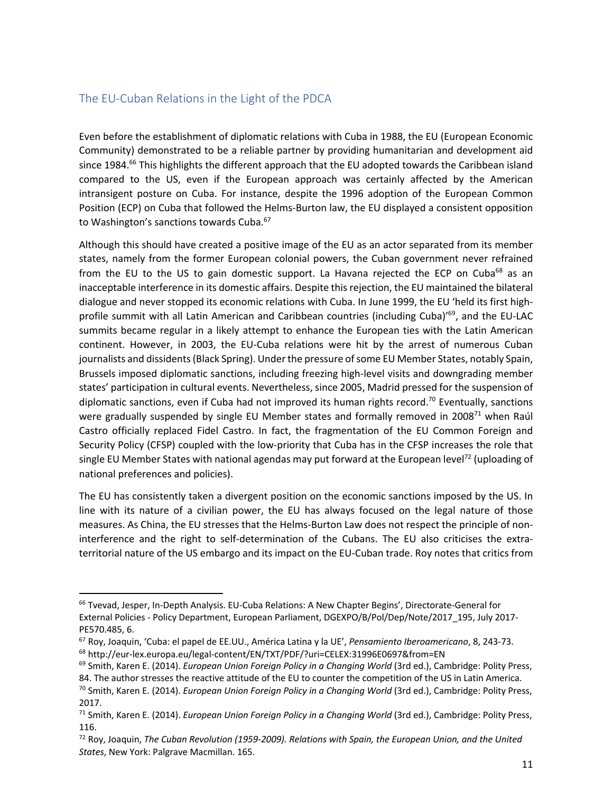# The EU-Cuban Relations in the Light of the PDCA

Even before the establishment of diplomatic relations with Cuba in 1988, the EU (European Economic Community) demonstrated to be a reliable partner by providing humanitarian and development aid since 1984.<sup>66</sup> This highlights the different approach that the EU adopted towards the Caribbean island compared to the US, even if the European approach was certainly affected by the American intransigent posture on Cuba. For instance, despite the 1996 adoption of the European Common Position (ECP) on Cuba that followed the Helms-Burton law, the EU displayed a consistent opposition to Washington's sanctions towards Cuba.<sup>67</sup>

Although this should have created a positive image of the EU as an actor separated from its member states, namely from the former European colonial powers, the Cuban government never refrained from the EU to the US to gain domestic support. La Havana rejected the ECP on Cuba<sup>68</sup> as an inacceptable interference in its domestic affairs. Despite this rejection, the EU maintained the bilateral dialogue and never stopped its economic relations with Cuba. In June 1999, the EU 'held its first highprofile summit with all Latin American and Caribbean countries (including Cuba)<sup>169</sup>, and the EU-LAC summits became regular in a likely attempt to enhance the European ties with the Latin American continent. However, in 2003, the EU-Cuba relations were hit by the arrest of numerous Cuban journalists and dissidents (Black Spring). Under the pressure of some EU Member States, notably Spain, Brussels imposed diplomatic sanctions, including freezing high-level visits and downgrading member states' participation in cultural events. Nevertheless, since 2005, Madrid pressed for the suspension of diplomatic sanctions, even if Cuba had not improved its human rights record.<sup>70</sup> Eventually, sanctions were gradually suspended by single EU Member states and formally removed in 2008<sup>71</sup> when Raúl Castro officially replaced Fidel Castro. In fact, the fragmentation of the EU Common Foreign and Security Policy (CFSP) coupled with the low-priority that Cuba has in the CFSP increases the role that single EU Member States with national agendas may put forward at the European level<sup>72</sup> (uploading of national preferences and policies).

The EU has consistently taken a divergent position on the economic sanctions imposed by the US. In line with its nature of a civilian power, the EU has always focused on the legal nature of those measures. As China, the EU stresses that the Helms-Burton Law does not respect the principle of noninterference and the right to self-determination of the Cubans. The EU also criticises the extraterritorial nature of the US embargo and its impact on the EU-Cuban trade. Roy notes that critics from

<sup>&</sup>lt;sup>66</sup> Tvevad, Jesper, In-Depth Analysis. EU-Cuba Relations: A New Chapter Begins', Directorate-General for External Policies - Policy Department, European Parliament, DGEXPO/B/Pol/Dep/Note/2017\_195, July 2017- PE570.485, 6.

<sup>67</sup> Roy, Joaquin, 'Cuba: el papel de EE.UU., América Latina y la UE', *Pensamiento Iberoamericano*, 8, 243-73. <sup>68</sup> http://eur-lex.europa.eu/legal-content/EN/TXT/PDF/?uri=CELEX:31996E0697&from=EN

<sup>69</sup> Smith, Karen E. (2014). *European Union Foreign Policy in a Changing World* (3rd ed.), Cambridge: Polity Press,

<sup>84.</sup> The author stresses the reactive attitude of the EU to counter the competition of the US in Latin America.

<sup>70</sup> Smith, Karen E. (2014). *European Union Foreign Policy in a Changing World* (3rd ed.), Cambridge: Polity Press, 2017.

<sup>71</sup> Smith, Karen E. (2014). *European Union Foreign Policy in a Changing World* (3rd ed.), Cambridge: Polity Press, 116.

<sup>72</sup> Roy, Joaquin, *The Cuban Revolution (1959-2009). Relations with Spain, the European Union, and the United States*, New York: Palgrave Macmillan. 165.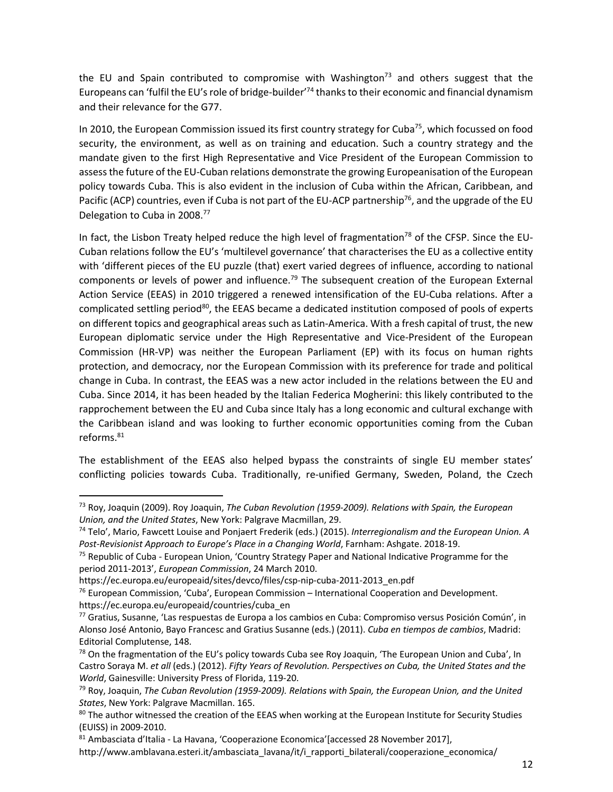the EU and Spain contributed to compromise with Washington<sup>73</sup> and others suggest that the Europeans can 'fulfil the EU's role of bridge-builder<sup>'74</sup> thanks to their economic and financial dynamism and their relevance for the G77.

In 2010, the European Commission issued its first country strategy for Cuba<sup>75</sup>, which focussed on food security, the environment, as well as on training and education. Such a country strategy and the mandate given to the first High Representative and Vice President of the European Commission to assess the future of the EU-Cuban relations demonstrate the growing Europeanisation of the European policy towards Cuba. This is also evident in the inclusion of Cuba within the African, Caribbean, and Pacific (ACP) countries, even if Cuba is not part of the EU-ACP partnership<sup>76</sup>, and the upgrade of the EU Delegation to Cuba in 2008.<sup>77</sup>

In fact, the Lisbon Treaty helped reduce the high level of fragmentation<sup>78</sup> of the CFSP. Since the EU-Cuban relations follow the EU's 'multilevel governance' that characterises the EU as a collective entity with 'different pieces of the EU puzzle (that) exert varied degrees of influence, according to national components or levels of power and influence.<sup>79</sup> The subsequent creation of the European External Action Service (EEAS) in 2010 triggered a renewed intensification of the EU-Cuba relations. After a complicated settling period<sup>80</sup>, the EEAS became a dedicated institution composed of pools of experts on different topics and geographical areas such as Latin-America. With a fresh capital of trust, the new European diplomatic service under the High Representative and Vice-President of the European Commission (HR-VP) was neither the European Parliament (EP) with its focus on human rights protection, and democracy, nor the European Commission with its preference for trade and political change in Cuba. In contrast, the EEAS was a new actor included in the relations between the EU and Cuba. Since 2014, it has been headed by the Italian Federica Mogherini: this likely contributed to the rapprochement between the EU and Cuba since Italy has a long economic and cultural exchange with the Caribbean island and was looking to further economic opportunities coming from the Cuban reforms. 81

The establishment of the EEAS also helped bypass the constraints of single EU member states' conflicting policies towards Cuba. Traditionally, re-unified Germany, Sweden, Poland, the Czech

<sup>73</sup> Roy, Joaquin (2009). Roy Joaquin, *The Cuban Revolution (1959-2009). Relations with Spain, the European Union, and the United States*, New York: Palgrave Macmillan, 29.

<sup>74</sup> Telo', Mario, Fawcett Louise and Ponjaert Frederik (eds.) (2015). *Interregionalism and the European Union. A Post-Revisionist Approach to Europe's Place in a Changing World*, Farnham: Ashgate. 2018-19.

<sup>&</sup>lt;sup>75</sup> Republic of Cuba - European Union, 'Country Strategy Paper and National Indicative Programme for the period 2011-2013', *European Commission*, 24 March 2010.

https://ec.europa.eu/europeaid/sites/devco/files/csp-nip-cuba-2011-2013\_en.pdf

<sup>&</sup>lt;sup>76</sup> European Commission, 'Cuba', European Commission – International Cooperation and Development. https://ec.europa.eu/europeaid/countries/cuba\_en

<sup>77</sup> Gratius, Susanne, 'Las respuestas de Europa a los cambios en Cuba: Compromiso versus Posición Común', in Alonso José Antonio, Bayo Francesc and Gratius Susanne (eds.) (2011). *Cuba en tiempos de cambios*, Madrid: Editorial Complutense, 148.

<sup>&</sup>lt;sup>78</sup> On the fragmentation of the EU's policy towards Cuba see Roy Joaquin, 'The European Union and Cuba', In Castro Soraya M. *et all* (eds.) (2012). *Fifty Years of Revolution. Perspectives on Cuba, the United States and the World*, Gainesville: University Press of Florida, 119-20.

<sup>79</sup> Roy, Joaquin, *The Cuban Revolution (1959-2009). Relations with Spain, the European Union, and the United States*, New York: Palgrave Macmillan. 165.

<sup>&</sup>lt;sup>80</sup> The author witnessed the creation of the EEAS when working at the European Institute for Security Studies (EUISS) in 2009-2010.

<sup>81</sup> Ambasciata d'Italia - La Havana, 'Cooperazione Economica'[accessed 28 November 2017],

http://www.amblavana.esteri.it/ambasciata\_lavana/it/i\_rapporti\_bilaterali/cooperazione\_economica/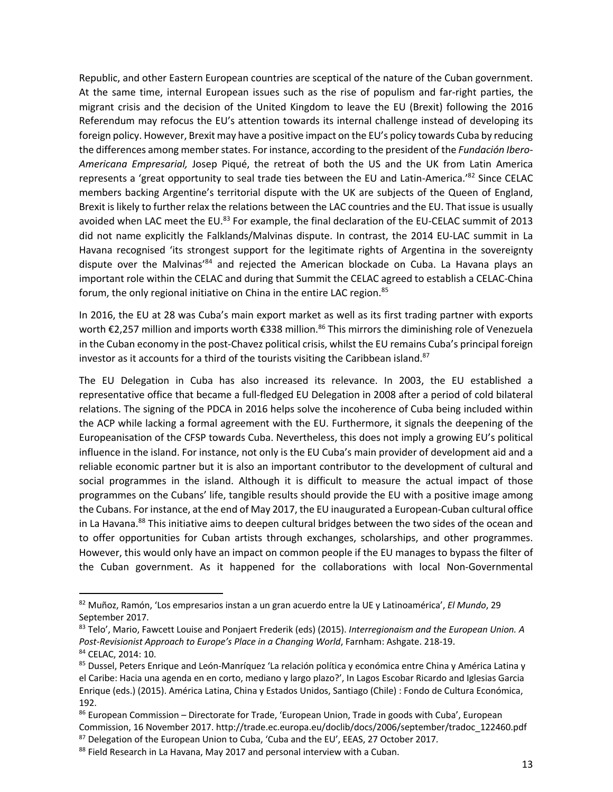Republic, and other Eastern European countries are sceptical of the nature of the Cuban government. At the same time, internal European issues such as the rise of populism and far-right parties, the migrant crisis and the decision of the United Kingdom to leave the EU (Brexit) following the 2016 Referendum may refocus the EU's attention towards its internal challenge instead of developing its foreign policy. However, Brexit may have a positive impact on the EU's policy towards Cuba by reducing the differences among member states. For instance, according to the president of the *Fundación Ibero-Americana Empresarial,* Josep Piqué, the retreat of both the US and the UK from Latin America represents a 'great opportunity to seal trade ties between the EU and Latin-America.'<sup>82</sup> Since CELAC members backing Argentine's territorial dispute with the UK are subjects of the Queen of England, Brexit is likely to further relax the relations between the LAC countries and the EU. That issue is usually avoided when LAC meet the EU.<sup>83</sup> For example, the final declaration of the EU-CELAC summit of 2013 did not name explicitly the Falklands/Malvinas dispute. In contrast, the 2014 EU-LAC summit in La Havana recognised 'its strongest support for the legitimate rights of Argentina in the sovereignty dispute over the Malvinas<sup>'84</sup> and rejected the American blockade on Cuba. La Havana plays an important role within the CELAC and during that Summit the CELAC agreed to establish a CELAC-China forum, the only regional initiative on China in the entire LAC region.<sup>85</sup>

In 2016, the EU at 28 was Cuba's main export market as well as its first trading partner with exports worth €2,257 million and imports worth €338 million.<sup>86</sup> This mirrors the diminishing role of Venezuela in the Cuban economy in the post-Chavez political crisis, whilst the EU remains Cuba's principal foreign investor as it accounts for a third of the tourists visiting the Caribbean island. 87

The EU Delegation in Cuba has also increased its relevance. In 2003, the EU established a representative office that became a full-fledged EU Delegation in 2008 after a period of cold bilateral relations. The signing of the PDCA in 2016 helps solve the incoherence of Cuba being included within the ACP while lacking a formal agreement with the EU. Furthermore, it signals the deepening of the Europeanisation of the CFSP towards Cuba. Nevertheless, this does not imply a growing EU's political influence in the island. For instance, not only is the EU Cuba's main provider of development aid and a reliable economic partner but it is also an important contributor to the development of cultural and social programmes in the island. Although it is difficult to measure the actual impact of those programmes on the Cubans' life, tangible results should provide the EU with a positive image among the Cubans. For instance, at the end of May 2017, the EU inaugurated a European-Cuban cultural office in La Havana.<sup>88</sup> This initiative aims to deepen cultural bridges between the two sides of the ocean and to offer opportunities for Cuban artists through exchanges, scholarships, and other programmes. However, this would only have an impact on common people if the EU manages to bypass the filter of the Cuban government. As it happened for the collaborations with local Non-Governmental

<sup>82</sup> Muñoz, Ramón, 'Los empresarios instan a un gran acuerdo entre la UE y Latinoamérica', *El Mundo*, 29 September 2017.

<sup>83</sup> Telo', Mario, Fawcett Louise and Ponjaert Frederik (eds) (2015). *Interregionaism and the European Union. A Post-Revisionist Approach to Europe's Place in a Changing World*, Farnham: Ashgate. 218-19. <sup>84</sup> CELAC, 2014: 10.

<sup>&</sup>lt;sup>85</sup> Dussel, Peters Enrique and León-Manríquez 'La relación política y económica entre China y América Latina y el Caribe: Hacia una agenda en en corto, mediano y largo plazo?', In Lagos Escobar Ricardo and Iglesias Garcia Enrique (eds.) (2015). América Latina, China y Estados Unidos, Santiago (Chile) : Fondo de Cultura Económica, 192.

<sup>86</sup> European Commission - Directorate for Trade, 'European Union, Trade in goods with Cuba', European Commission, 16 November 2017. http://trade.ec.europa.eu/doclib/docs/2006/september/tradoc\_122460.pdf  $87$  Delegation of the European Union to Cuba, 'Cuba and the EU', EEAS, 27 October 2017.

<sup>&</sup>lt;sup>88</sup> Field Research in La Havana, May 2017 and personal interview with a Cuban.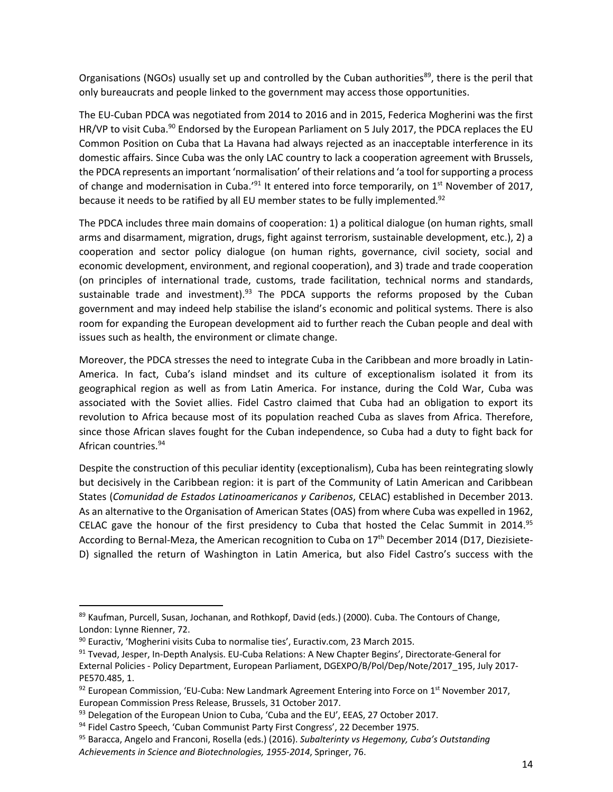Organisations (NGOs) usually set up and controlled by the Cuban authorities<sup>89</sup>, there is the peril that only bureaucrats and people linked to the government may access those opportunities.

The EU-Cuban PDCA was negotiated from 2014 to 2016 and in 2015, Federica Mogherini was the first HR/VP to visit Cuba.<sup>90</sup> Endorsed by the European Parliament on 5 July 2017, the PDCA replaces the EU Common Position on Cuba that La Havana had always rejected as an inacceptable interference in its domestic affairs. Since Cuba was the only LAC country to lack a cooperation agreement with Brussels, the PDCA represents an important 'normalisation' of their relations and 'a tool for supporting a process of change and modernisation in Cuba.'<sup>91</sup> It entered into force temporarily, on 1<sup>st</sup> November of 2017, because it needs to be ratified by all EU member states to be fully implemented.<sup>92</sup>

The PDCA includes three main domains of cooperation: 1) a political dialogue (on human rights, small arms and disarmament, migration, drugs, fight against terrorism, sustainable development, etc.), 2) a cooperation and sector policy dialogue (on human rights, governance, civil society, social and economic development, environment, and regional cooperation), and 3) trade and trade cooperation (on principles of international trade, customs, trade facilitation, technical norms and standards, sustainable trade and investment).<sup>93</sup> The PDCA supports the reforms proposed by the Cuban government and may indeed help stabilise the island's economic and political systems. There is also room for expanding the European development aid to further reach the Cuban people and deal with issues such as health, the environment or climate change.

Moreover, the PDCA stresses the need to integrate Cuba in the Caribbean and more broadly in Latin-America. In fact, Cuba's island mindset and its culture of exceptionalism isolated it from its geographical region as well as from Latin America. For instance, during the Cold War, Cuba was associated with the Soviet allies. Fidel Castro claimed that Cuba had an obligation to export its revolution to Africa because most of its population reached Cuba as slaves from Africa. Therefore, since those African slaves fought for the Cuban independence, so Cuba had a duty to fight back for African countries. 94

Despite the construction of this peculiar identity (exceptionalism), Cuba has been reintegrating slowly but decisively in the Caribbean region: it is part of the Community of Latin American and Caribbean States (*Comunidad de Estados Latinoamericanos y Caribenos*, CELAC) established in December 2013. As an alternative to the Organisation of American States (OAS) from where Cuba was expelled in 1962, CELAC gave the honour of the first presidency to Cuba that hosted the Celac Summit in 2014.<sup>95</sup> According to Bernal-Meza, the American recognition to Cuba on 17<sup>th</sup> December 2014 (D17, Diezisiete-D) signalled the return of Washington in Latin America, but also Fidel Castro's success with the

<sup>89</sup> Kaufman, Purcell, Susan, Jochanan, and Rothkopf, David (eds.) (2000). Cuba. The Contours of Change, London: Lynne Rienner, 72.

<sup>90</sup> Euractiv, 'Mogherini visits Cuba to normalise ties', Euractiv.com, 23 March 2015.

<sup>91</sup> Tvevad, Jesper, In-Depth Analysis. EU-Cuba Relations: A New Chapter Begins', Directorate-General for External Policies - Policy Department, European Parliament, DGEXPO/B/Pol/Dep/Note/2017\_195, July 2017- PE570.485, 1.

 $92$  European Commission, 'EU-Cuba: New Landmark Agreement Entering into Force on 1<sup>st</sup> November 2017, European Commission Press Release, Brussels, 31 October 2017.

<sup>&</sup>lt;sup>93</sup> Delegation of the European Union to Cuba, 'Cuba and the EU', EEAS, 27 October 2017.

<sup>94</sup> Fidel Castro Speech, 'Cuban Communist Party First Congress', 22 December 1975.

<sup>95</sup> Baracca, Angelo and Franconi, Rosella (eds.) (2016). *Subalterinty vs Hegemony, Cuba's Outstanding Achievements in Science and Biotechnologies, 1955-2014*, Springer, 76.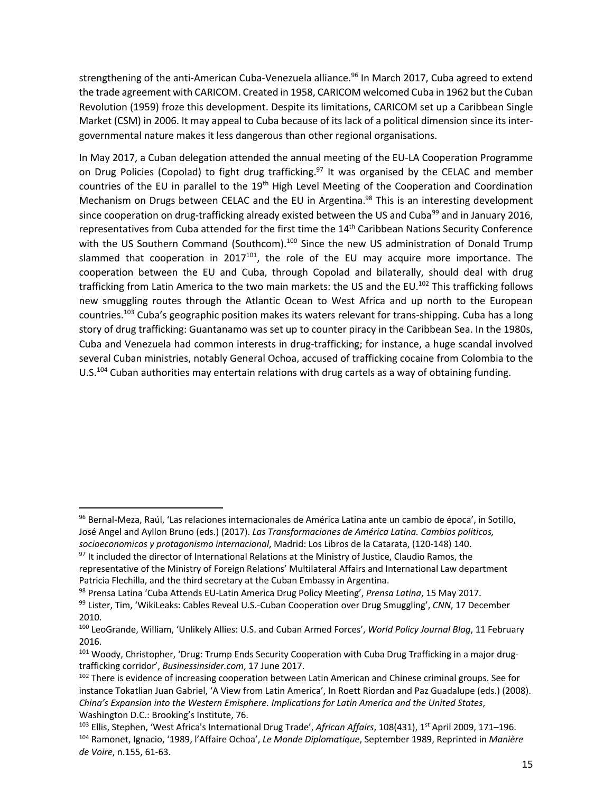strengthening of the anti-American Cuba-Venezuela alliance. <sup>96</sup> In March 2017, Cuba agreed to extend the trade agreement with CARICOM. Created in 1958, CARICOM welcomed Cuba in 1962 but the Cuban Revolution (1959) froze this development. Despite its limitations, CARICOM set up a Caribbean Single Market (CSM) in 2006. It may appeal to Cuba because of its lack of a political dimension since its intergovernmental nature makes it less dangerous than other regional organisations.

In May 2017, a Cuban delegation attended the annual meeting of the EU-LA Cooperation Programme on Drug Policies (Copolad) to fight drug trafficking.<sup>97</sup> It was organised by the CELAC and member countries of the EU in parallel to the 19<sup>th</sup> High Level Meeting of the Cooperation and Coordination Mechanism on Drugs between CELAC and the EU in Argentina.<sup>98</sup> This is an interesting development since cooperation on drug-trafficking already existed between the US and Cuba<sup>99</sup> and in January 2016, representatives from Cuba attended for the first time the 14<sup>th</sup> Caribbean Nations Security Conference with the US Southern Command (Southcom).<sup>100</sup> Since the new US administration of Donald Trump slammed that cooperation in 2017 $101$ , the role of the EU may acquire more importance. The cooperation between the EU and Cuba, through Copolad and bilaterally, should deal with drug trafficking from Latin America to the two main markets: the US and the EU.<sup>102</sup> This trafficking follows new smuggling routes through the Atlantic Ocean to West Africa and up north to the European countries.<sup>103</sup> Cuba's geographic position makes its waters relevant for trans-shipping. Cuba has a long story of drug trafficking: Guantanamo was set up to counter piracy in the Caribbean Sea. In the 1980s, Cuba and Venezuela had common interests in drug-trafficking; for instance, a huge scandal involved several Cuban ministries, notably General Ochoa, accused of trafficking cocaine from Colombia to the U.S.<sup>104</sup> Cuban authorities may entertain relations with drug cartels as a way of obtaining funding.

<sup>96</sup> Bernal-Meza, Raúl, 'Las relaciones internacionales de América Latina ante un cambio de época', in Sotillo, José Angel and Ayllon Bruno (eds.) (2017). *Las Transformaciones de América Latina. Cambios politicos, socioeconomicos y protagonismo internacional*, Madrid: Los Libros de la Catarata, (120-148) 140.

<sup>&</sup>lt;sup>97</sup> It included the director of International Relations at the Ministry of Justice, Claudio Ramos, the representative of the Ministry of Foreign Relations' Multilateral Affairs and International Law department Patricia Flechilla, and the third secretary at the Cuban Embassy in Argentina.

<sup>98</sup> Prensa Latina 'Cuba Attends EU-Latin America Drug Policy Meeting', *Prensa Latina*, 15 May 2017.

<sup>99</sup> Lister, Tim, 'WikiLeaks: Cables Reveal U.S.-Cuban Cooperation over Drug Smuggling', *CNN*, 17 December 2010.

<sup>100</sup> LeoGrande, William, 'Unlikely Allies: U.S. and Cuban Armed Forces', *World Policy Journal Blog*, 11 February 2016.

<sup>&</sup>lt;sup>101</sup> Woody, Christopher, 'Drug: Trump Ends Security Cooperation with Cuba Drug Trafficking in a major drugtrafficking corridor', *Businessinsider.com*, 17 June 2017.

<sup>&</sup>lt;sup>102</sup> There is evidence of increasing cooperation between Latin American and Chinese criminal groups. See for instance Tokatlian Juan Gabriel, 'A View from Latin America', In Roett Riordan and Paz Guadalupe (eds.) (2008). *China's Expansion into the Western Emisphere. Implications for Latin America and the United States*, Washington D.C.: Brooking's Institute, 76.

<sup>103</sup> Ellis, Stephen, 'West Africa's International Drug Trade', *African Affairs*, 108(431), 1st April 2009, 171–196. <sup>104</sup> Ramonet, Ignacio, '1989, l'Affaire Ochoa', *Le Monde Diplomatique*, September 1989, Reprinted in *Manière de Voire*, n.155, 61-63.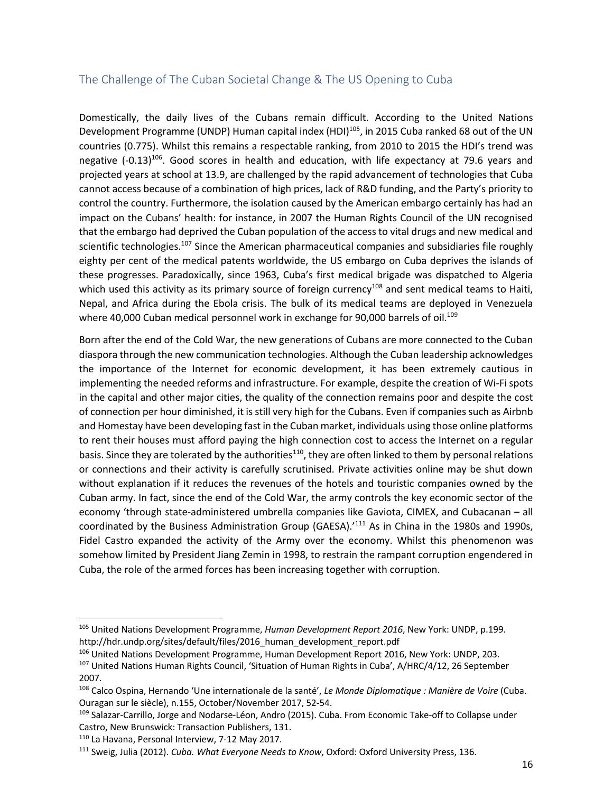# The Challenge of The Cuban Societal Change & The US Opening to Cuba

Domestically, the daily lives of the Cubans remain difficult. According to the United Nations Development Programme (UNDP) Human capital index (HDI)<sup>105</sup>, in 2015 Cuba ranked 68 out of the UN countries (0.775). Whilst this remains a respectable ranking, from 2010 to 2015 the HDI's trend was negative  $(-0.13)^{106}$ . Good scores in health and education, with life expectancy at 79.6 years and projected years at school at 13.9, are challenged by the rapid advancement of technologies that Cuba cannot access because of a combination of high prices, lack of R&D funding, and the Party's priority to control the country. Furthermore, the isolation caused by the American embargo certainly has had an impact on the Cubans' health: for instance, in 2007 the Human Rights Council of the UN recognised that the embargo had deprived the Cuban population of the access to vital drugs and new medical and scientific technologies.<sup>107</sup> Since the American pharmaceutical companies and subsidiaries file roughly eighty per cent of the medical patents worldwide, the US embargo on Cuba deprives the islands of these progresses. Paradoxically, since 1963, Cuba's first medical brigade was dispatched to Algeria which used this activity as its primary source of foreign currency<sup>108</sup> and sent medical teams to Haiti, Nepal, and Africa during the Ebola crisis. The bulk of its medical teams are deployed in Venezuela where 40,000 Cuban medical personnel work in exchange for 90,000 barrels of oil.<sup>109</sup>

Born after the end of the Cold War, the new generations of Cubans are more connected to the Cuban diaspora through the new communication technologies. Although the Cuban leadership acknowledges the importance of the Internet for economic development, it has been extremely cautious in implementing the needed reforms and infrastructure. For example, despite the creation of Wi-Fi spots in the capital and other major cities, the quality of the connection remains poor and despite the cost of connection per hour diminished, it is still very high for the Cubans. Even if companies such as Airbnb and Homestay have been developing fast in the Cuban market, individuals using those online platforms to rent their houses must afford paying the high connection cost to access the Internet on a regular basis. Since they are tolerated by the authorities<sup>110</sup>, they are often linked to them by personal relations or connections and their activity is carefully scrutinised. Private activities online may be shut down without explanation if it reduces the revenues of the hotels and touristic companies owned by the Cuban army. In fact, since the end of the Cold War, the army controls the key economic sector of the economy 'through state-administered umbrella companies like Gaviota, CIMEX, and Cubacanan – all coordinated by the Business Administration Group (GAESA).<sup>111</sup> As in China in the 1980s and 1990s, Fidel Castro expanded the activity of the Army over the economy. Whilst this phenomenon was somehow limited by President Jiang Zemin in 1998, to restrain the rampant corruption engendered in Cuba, the role of the armed forces has been increasing together with corruption.

<sup>105</sup> United Nations Development Programme, *Human Development Report 2016*, New York: UNDP, p.199. http://hdr.undp.org/sites/default/files/2016\_human\_development\_report.pdf

<sup>106</sup> United Nations Development Programme, Human Development Report 2016, New York: UNDP, 203.

<sup>&</sup>lt;sup>107</sup> United Nations Human Rights Council, 'Situation of Human Rights in Cuba', A/HRC/4/12, 26 September 2007.

<sup>108</sup> Calco Ospina, Hernando 'Une internationale de la santé', *Le Monde Diplomatique : Manière de Voire* (Cuba. Ouragan sur le siècle), n.155, October/November 2017, 52-54.

<sup>109</sup> Salazar-Carrillo, Jorge and Nodarse-Léon, Andro (2015). Cuba. From Economic Take-off to Collapse under Castro, New Brunswick: Transaction Publishers, 131.

<sup>110</sup> La Havana, Personal Interview, 7-12 May 2017.

<sup>111</sup> Sweig, Julia (2012). *Cuba. What Everyone Needs to Know*, Oxford: Oxford University Press, 136.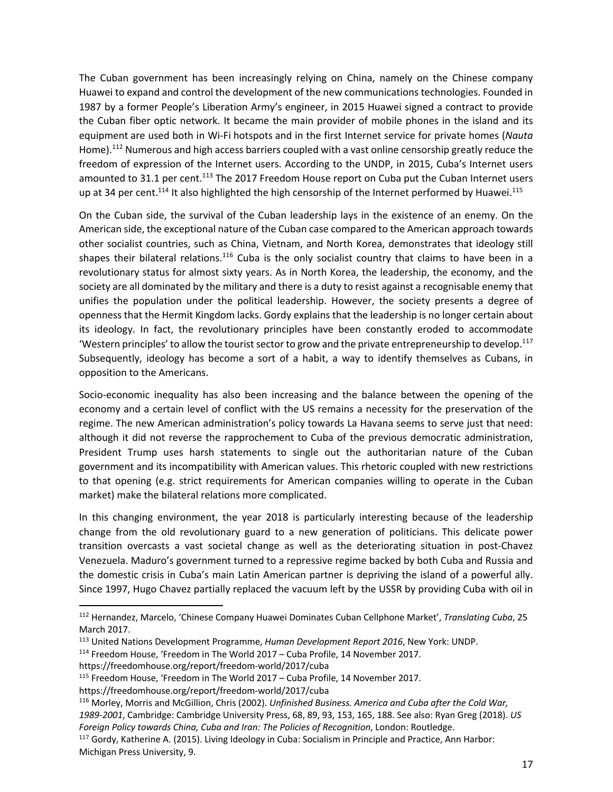The Cuban government has been increasingly relying on China, namely on the Chinese company Huawei to expand and control the development of the new communications technologies. Founded in 1987 by a former People's Liberation Army's engineer, in 2015 Huawei signed a contract to provide the Cuban fiber optic network. It became the main provider of mobile phones in the island and its equipment are used both in Wi-Fi hotspots and in the first Internet service for private homes (*Nauta* Home).<sup>112</sup> Numerous and high access barriers coupled with a vast online censorship greatly reduce the freedom of expression of the Internet users. According to the UNDP, in 2015, Cuba's Internet users amounted to 31.1 per cent.<sup>113</sup> The 2017 Freedom House report on Cuba put the Cuban Internet users up at 34 per cent.<sup>114</sup> It also highlighted the high censorship of the Internet performed by Huawei.<sup>115</sup>

On the Cuban side, the survival of the Cuban leadership lays in the existence of an enemy. On the American side, the exceptional nature of the Cuban case compared to the American approach towards other socialist countries, such as China, Vietnam, and North Korea, demonstrates that ideology still shapes their bilateral relations.<sup>116</sup> Cuba is the only socialist country that claims to have been in a revolutionary status for almost sixty years. As in North Korea, the leadership, the economy, and the society are all dominated by the military and there is a duty to resist against a recognisable enemy that unifies the population under the political leadership. However, the society presents a degree of openness that the Hermit Kingdom lacks. Gordy explains that the leadership is no longer certain about its ideology. In fact, the revolutionary principles have been constantly eroded to accommodate 'Western principles' to allow the tourist sector to grow and the private entrepreneurship to develop.<sup>117</sup> Subsequently, ideology has become a sort of a habit, a way to identify themselves as Cubans, in opposition to the Americans.

Socio-economic inequality has also been increasing and the balance between the opening of the economy and a certain level of conflict with the US remains a necessity for the preservation of the regime. The new American administration's policy towards La Havana seems to serve just that need: although it did not reverse the rapprochement to Cuba of the previous democratic administration, President Trump uses harsh statements to single out the authoritarian nature of the Cuban government and its incompatibility with American values. This rhetoric coupled with new restrictions to that opening (e.g. strict requirements for American companies willing to operate in the Cuban market) make the bilateral relations more complicated.

In this changing environment, the year 2018 is particularly interesting because of the leadership change from the old revolutionary guard to a new generation of politicians. This delicate power transition overcasts a vast societal change as well as the deteriorating situation in post-Chavez Venezuela. Maduro's government turned to a repressive regime backed by both Cuba and Russia and the domestic crisis in Cuba's main Latin American partner is depriving the island of a powerful ally. Since 1997, Hugo Chavez partially replaced the vacuum left by the USSR by providing Cuba with oil in

<sup>112</sup> Hernandez, Marcelo, 'Chinese Company Huawei Dominates Cuban Cellphone Market', *Translating Cuba*, 25 March 2017.

<sup>113</sup> United Nations Development Programme, *Human Development Report 2016*, New York: UNDP.

<sup>114</sup> Freedom House, 'Freedom in The World 2017 – Cuba Profile, 14 November 2017.

https://freedomhouse.org/report/freedom-world/2017/cuba

<sup>115</sup> Freedom House, 'Freedom in The World 2017 – Cuba Profile, 14 November 2017.

https://freedomhouse.org/report/freedom-world/2017/cuba

<sup>116</sup> Morley, Morris and McGillion, Chris (2002). *Unfinished Business. America and Cuba after the Cold War,* 

*<sup>1989-2001</sup>*, Cambridge: Cambridge University Press, 68, 89, 93, 153, 165, 188. See also: Ryan Greg (2018). *US Foreign Policy towards China, Cuba and Iran: The Policies of Recognition*, London: Routledge.

<sup>117</sup> Gordy, Katherine A. (2015). Living Ideology in Cuba: Socialism in Principle and Practice, Ann Harbor: Michigan Press University, 9.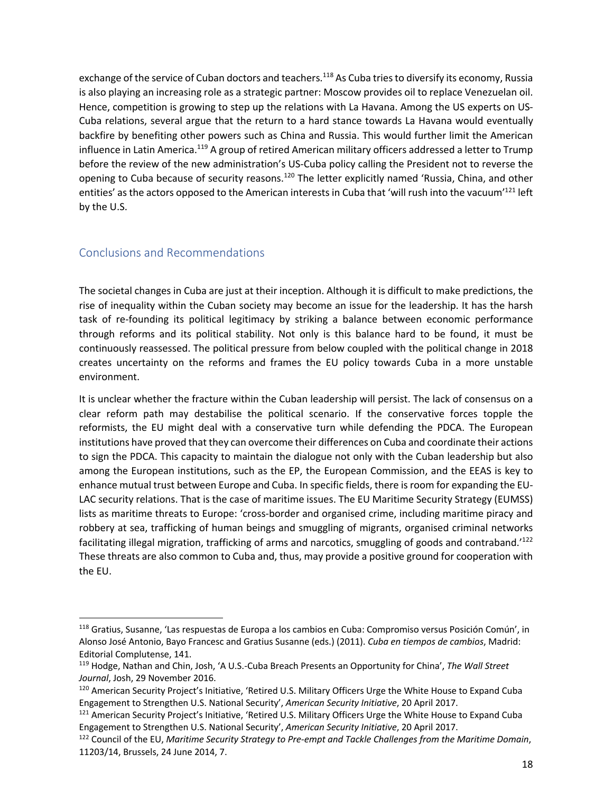exchange of the service of Cuban doctors and teachers.<sup>118</sup> As Cuba tries to diversify its economy, Russia is also playing an increasing role as a strategic partner: Moscow provides oil to replace Venezuelan oil. Hence, competition is growing to step up the relations with La Havana. Among the US experts on US-Cuba relations, several argue that the return to a hard stance towards La Havana would eventually backfire by benefiting other powers such as China and Russia. This would further limit the American influence in Latin America.<sup>119</sup> A group of retired American military officers addressed a letter to Trump before the review of the new administration's US-Cuba policy calling the President not to reverse the opening to Cuba because of security reasons.<sup>120</sup> The letter explicitly named 'Russia, China, and other entities' as the actors opposed to the American interests in Cuba that 'will rush into the vacuum'<sup>121</sup> left by the U.S.

## Conclusions and Recommendations

The societal changes in Cuba are just at their inception. Although it is difficult to make predictions, the rise of inequality within the Cuban society may become an issue for the leadership. It has the harsh task of re-founding its political legitimacy by striking a balance between economic performance through reforms and its political stability. Not only is this balance hard to be found, it must be continuously reassessed. The political pressure from below coupled with the political change in 2018 creates uncertainty on the reforms and frames the EU policy towards Cuba in a more unstable environment.

It is unclear whether the fracture within the Cuban leadership will persist. The lack of consensus on a clear reform path may destabilise the political scenario. If the conservative forces topple the reformists, the EU might deal with a conservative turn while defending the PDCA. The European institutions have proved that they can overcome their differences on Cuba and coordinate their actions to sign the PDCA. This capacity to maintain the dialogue not only with the Cuban leadership but also among the European institutions, such as the EP, the European Commission, and the EEAS is key to enhance mutual trust between Europe and Cuba. In specific fields, there is room for expanding the EU-LAC security relations. That is the case of maritime issues. The EU Maritime Security Strategy (EUMSS) lists as maritime threats to Europe: 'cross-border and organised crime, including maritime piracy and robbery at sea, trafficking of human beings and smuggling of migrants, organised criminal networks facilitating illegal migration, trafficking of arms and narcotics, smuggling of goods and contraband.'<sup>122</sup> These threats are also common to Cuba and, thus, may provide a positive ground for cooperation with the EU.

<sup>118</sup> Gratius, Susanne, 'Las respuestas de Europa a los cambios en Cuba: Compromiso versus Posición Común', in Alonso José Antonio, Bayo Francesc and Gratius Susanne (eds.) (2011). *Cuba en tiempos de cambios*, Madrid: Editorial Complutense, 141.

<sup>119</sup> Hodge, Nathan and Chin, Josh, 'A U.S.-Cuba Breach Presents an Opportunity for China', *The Wall Street Journal*, Josh, 29 November 2016.

<sup>120</sup> American Security Project's Initiative, 'Retired U.S. Military Officers Urge the White House to Expand Cuba Engagement to Strengthen U.S. National Security', *American Security Initiative*, 20 April 2017.

<sup>&</sup>lt;sup>121</sup> American Security Project's Initiative, 'Retired U.S. Military Officers Urge the White House to Expand Cuba Engagement to Strengthen U.S. National Security', *American Security Initiative*, 20 April 2017.

<sup>122</sup> Council of the EU, *Maritime Security Strategy to Pre-empt and Tackle Challenges from the Maritime Domain*, 11203/14, Brussels, 24 June 2014, 7.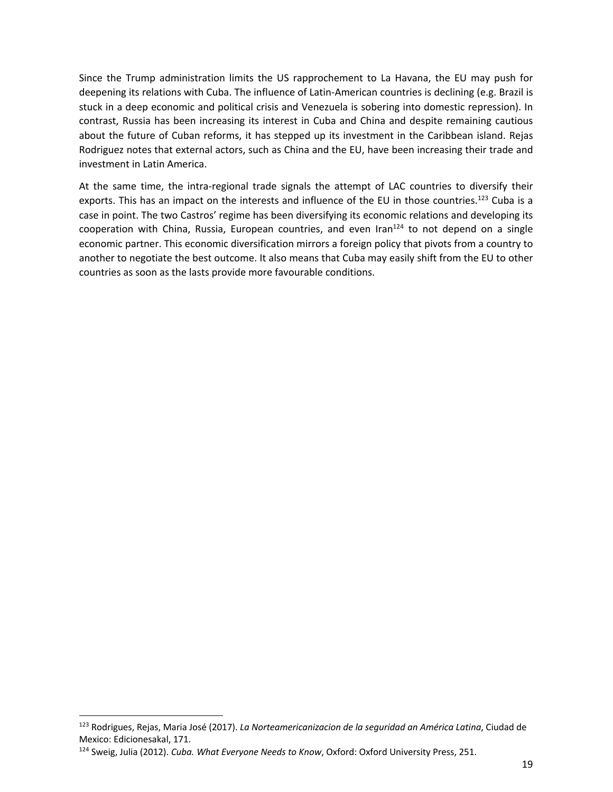Since the Trump administration limits the US rapprochement to La Havana, the EU may push for deepening its relations with Cuba. The influence of Latin-American countries is declining (e.g. Brazil is stuck in a deep economic and political crisis and Venezuela is sobering into domestic repression). In contrast, Russia has been increasing its interest in Cuba and China and despite remaining cautious about the future of Cuban reforms, it has stepped up its investment in the Caribbean island. Rejas Rodriguez notes that external actors, such as China and the EU, have been increasing their trade and investment in Latin America.

At the same time, the intra-regional trade signals the attempt of LAC countries to diversify their exports. This has an impact on the interests and influence of the EU in those countries.<sup>123</sup> Cuba is a case in point. The two Castros' regime has been diversifying its economic relations and developing its cooperation with China, Russia, European countries, and even Iran $^{124}$  to not depend on a single economic partner. This economic diversification mirrors a foreign policy that pivots from a country to another to negotiate the best outcome. It also means that Cuba may easily shift from the EU to other countries as soon as the lasts provide more favourable conditions.

<sup>123</sup> Rodrigues, Rejas, Maria José (2017). *La Norteamericanizacion de la seguridad an América Latina*, Ciudad de Mexico: Edicionesakal, 171.

<sup>124</sup> Sweig, Julia (2012). *Cuba. What Everyone Needs to Know*, Oxford: Oxford University Press, 251.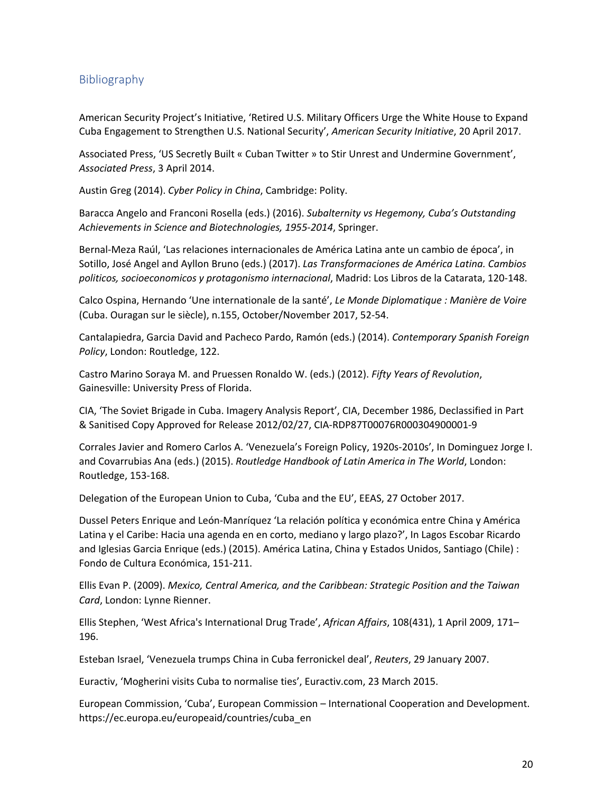## Bibliography

American Security Project's Initiative, 'Retired U.S. Military Officers Urge the White House to Expand Cuba Engagement to Strengthen U.S. National Security', *American Security Initiative*, 20 April 2017.

Associated Press, 'US Secretly Built « Cuban Twitter » to Stir Unrest and Undermine Government', *Associated Press*, 3 April 2014.

Austin Greg (2014). *Cyber Policy in China*, Cambridge: Polity.

Baracca Angelo and Franconi Rosella (eds.) (2016). *Subalternity vs Hegemony, Cuba's Outstanding Achievements in Science and Biotechnologies, 1955-2014*, Springer.

Bernal-Meza Raúl, 'Las relaciones internacionales de América Latina ante un cambio de época', in Sotillo, José Angel and Ayllon Bruno (eds.) (2017). *Las Transformaciones de América Latina. Cambios politicos, socioeconomicos y protagonismo internacional*, Madrid: Los Libros de la Catarata, 120-148.

Calco Ospina, Hernando 'Une internationale de la santé', *Le Monde Diplomatique : Manière de Voire* (Cuba. Ouragan sur le siècle), n.155, October/November 2017, 52-54.

Cantalapiedra, Garcia David and Pacheco Pardo, Ramón (eds.) (2014). *Contemporary Spanish Foreign Policy*, London: Routledge, 122.

Castro Marino Soraya M. and Pruessen Ronaldo W. (eds.) (2012). *Fifty Years of Revolution*, Gainesville: University Press of Florida.

CIA, 'The Soviet Brigade in Cuba. Imagery Analysis Report', CIA, December 1986, Declassified in Part & Sanitised Copy Approved for Release 2012/02/27, CIA-RDP87T00076R000304900001-9

Corrales Javier and Romero Carlos A. 'Venezuela's Foreign Policy, 1920s-2010s', In Dominguez Jorge I. and Covarrubias Ana (eds.) (2015). *Routledge Handbook of Latin America in The World*, London: Routledge, 153-168.

Delegation of the European Union to Cuba, 'Cuba and the EU', EEAS, 27 October 2017.

Dussel Peters Enrique and León-Manríquez 'La relación política y económica entre China y América Latina y el Caribe: Hacia una agenda en en corto, mediano y largo plazo?', In Lagos Escobar Ricardo and Iglesias Garcia Enrique (eds.) (2015). América Latina, China y Estados Unidos, Santiago (Chile) : Fondo de Cultura Económica, 151-211.

Ellis Evan P. (2009). *Mexico, Central America, and the Caribbean: Strategic Position and the Taiwan Card*, London: Lynne Rienner.

Ellis Stephen, 'West Africa's International Drug Trade', *African Affairs*, 108(431), 1 April 2009, 171– 196.

Esteban Israel, 'Venezuela trumps China in Cuba ferronickel deal', *Reuters*, 29 January 2007.

Euractiv, 'Mogherini visits Cuba to normalise ties', Euractiv.com, 23 March 2015.

European Commission, 'Cuba', European Commission – International Cooperation and Development. https://ec.europa.eu/europeaid/countries/cuba\_en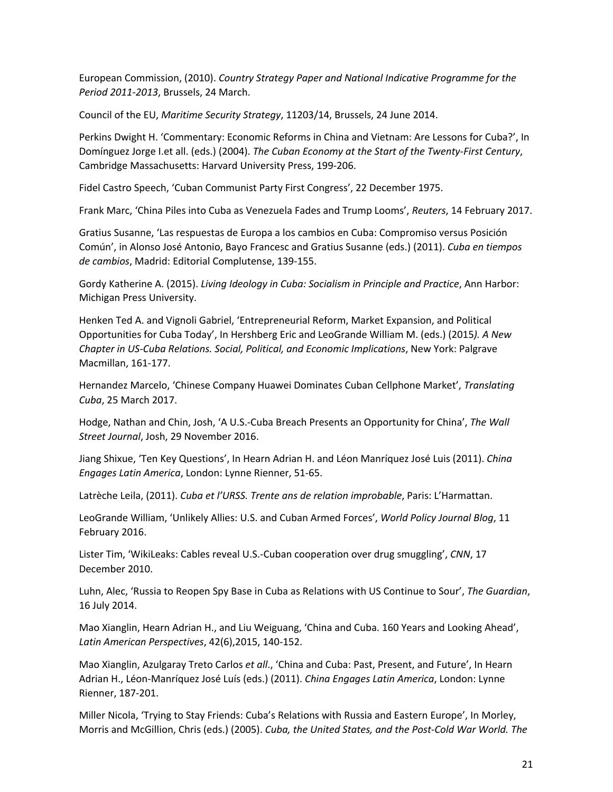European Commission, (2010). *Country Strategy Paper and National Indicative Programme for the Period 2011-2013*, Brussels, 24 March.

Council of the EU, *Maritime Security Strategy*, 11203/14, Brussels, 24 June 2014.

Perkins Dwight H. 'Commentary: Economic Reforms in China and Vietnam: Are Lessons for Cuba?', In Domínguez Jorge I.et all. (eds.) (2004). *The Cuban Economy at the Start of the Twenty-First Century*, Cambridge Massachusetts: Harvard University Press, 199-206.

Fidel Castro Speech, 'Cuban Communist Party First Congress', 22 December 1975.

Frank Marc, 'China Piles into Cuba as Venezuela Fades and Trump Looms', *Reuters*, 14 February 2017.

Gratius Susanne, 'Las respuestas de Europa a los cambios en Cuba: Compromiso versus Posición Común', in Alonso José Antonio, Bayo Francesc and Gratius Susanne (eds.) (2011). *Cuba en tiempos de cambios*, Madrid: Editorial Complutense, 139-155.

Gordy Katherine A. (2015). *Living Ideology in Cuba: Socialism in Principle and Practice*, Ann Harbor: Michigan Press University.

Henken Ted A. and Vignoli Gabriel, 'Entrepreneurial Reform, Market Expansion, and Political Opportunities for Cuba Today', In Hershberg Eric and LeoGrande William M. (eds.) (2015*). A New Chapter in US-Cuba Relations. Social, Political, and Economic Implications*, New York: Palgrave Macmillan, 161-177.

Hernandez Marcelo, 'Chinese Company Huawei Dominates Cuban Cellphone Market', *Translating Cuba*, 25 March 2017.

Hodge, Nathan and Chin, Josh, 'A U.S.-Cuba Breach Presents an Opportunity for China', *The Wall Street Journal*, Josh, 29 November 2016.

Jiang Shixue, 'Ten Key Questions', In Hearn Adrian H. and Léon Manríquez José Luis (2011). *China Engages Latin America*, London: Lynne Rienner, 51-65.

Latrèche Leila, (2011). *Cuba et l'URSS. Trente ans de relation improbable*, Paris: L'Harmattan.

LeoGrande William, 'Unlikely Allies: U.S. and Cuban Armed Forces', *World Policy Journal Blog*, 11 February 2016.

Lister Tim, 'WikiLeaks: Cables reveal U.S.-Cuban cooperation over drug smuggling', *CNN*, 17 December 2010.

Luhn, Alec, 'Russia to Reopen Spy Base in Cuba as Relations with US Continue to Sour', *The Guardian*, 16 July 2014.

Mao Xianglin, Hearn Adrian H., and Liu Weiguang, 'China and Cuba. 160 Years and Looking Ahead', *Latin American Perspectives*, 42(6),2015, 140-152.

Mao Xianglin, Azulgaray Treto Carlos *et all*., 'China and Cuba: Past, Present, and Future', In Hearn Adrian H., Léon-Manríquez José Luís (eds.) (2011). *China Engages Latin America*, London: Lynne Rienner, 187-201.

Miller Nicola, 'Trying to Stay Friends: Cuba's Relations with Russia and Eastern Europe', In Morley, Morris and McGillion, Chris (eds.) (2005). *Cuba, the United States, and the Post-Cold War World. The*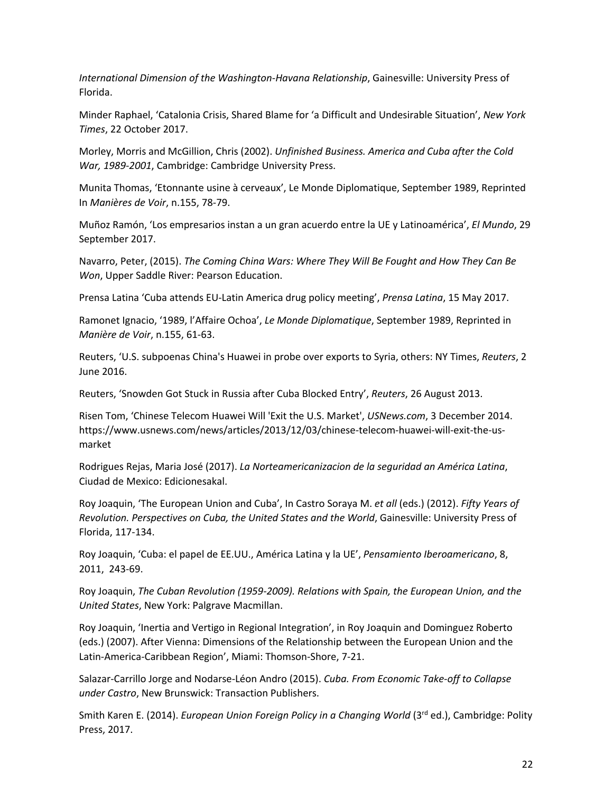*International Dimension of the Washington-Havana Relationship*, Gainesville: University Press of Florida.

Minder Raphael, 'Catalonia Crisis, Shared Blame for 'a Difficult and Undesirable Situation', *New York Times*, 22 October 2017.

Morley, Morris and McGillion, Chris (2002). *Unfinished Business. America and Cuba after the Cold War, 1989-2001*, Cambridge: Cambridge University Press.

Munita Thomas, 'Etonnante usine à cerveaux', Le Monde Diplomatique, September 1989, Reprinted In *Manières de Voir*, n.155, 78-79.

Muñoz Ramón, 'Los empresarios instan a un gran acuerdo entre la UE y Latinoamérica', *El Mundo*, 29 September 2017.

Navarro, Peter, (2015). *The Coming China Wars: Where They Will Be Fought and How They Can Be Won*, Upper Saddle River: Pearson Education.

Prensa Latina 'Cuba attends EU-Latin America drug policy meeting', *Prensa Latina*, 15 May 2017.

Ramonet Ignacio, '1989, l'Affaire Ochoa', *Le Monde Diplomatique*, September 1989, Reprinted in *Manière de Voir*, n.155, 61-63.

Reuters, 'U.S. subpoenas China's Huawei in probe over exports to Syria, others: NY Times, *Reuters*, 2 June 2016.

Reuters, 'Snowden Got Stuck in Russia after Cuba Blocked Entry', *Reuters*, 26 August 2013.

Risen Tom, 'Chinese Telecom Huawei Will 'Exit the U.S. Market', *USNews.com*, 3 December 2014. https://www.usnews.com/news/articles/2013/12/03/chinese-telecom-huawei-will-exit-the-usmarket

Rodrigues Rejas, Maria José (2017). *La Norteamericanizacion de la seguridad an América Latina*, Ciudad de Mexico: Edicionesakal.

Roy Joaquin, 'The European Union and Cuba', In Castro Soraya M. *et all* (eds.) (2012). *Fifty Years of Revolution. Perspectives on Cuba, the United States and the World*, Gainesville: University Press of Florida, 117-134.

Roy Joaquin, 'Cuba: el papel de EE.UU., América Latina y la UE', *Pensamiento Iberoamericano*, 8, 2011, 243-69.

Roy Joaquin, *The Cuban Revolution (1959-2009). Relations with Spain, the European Union, and the United States*, New York: Palgrave Macmillan.

Roy Joaquin, 'Inertia and Vertigo in Regional Integration', in Roy Joaquin and Dominguez Roberto (eds.) (2007). After Vienna: Dimensions of the Relationship between the European Union and the Latin-America-Caribbean Region', Miami: Thomson-Shore, 7-21.

Salazar-Carrillo Jorge and Nodarse-Léon Andro (2015). *Cuba. From Economic Take-off to Collapse under Castro*, New Brunswick: Transaction Publishers.

Smith Karen E. (2014). *European Union Foreign Policy in a Changing World* (3<sup>rd</sup> ed.), Cambridge: Polity Press, 2017.